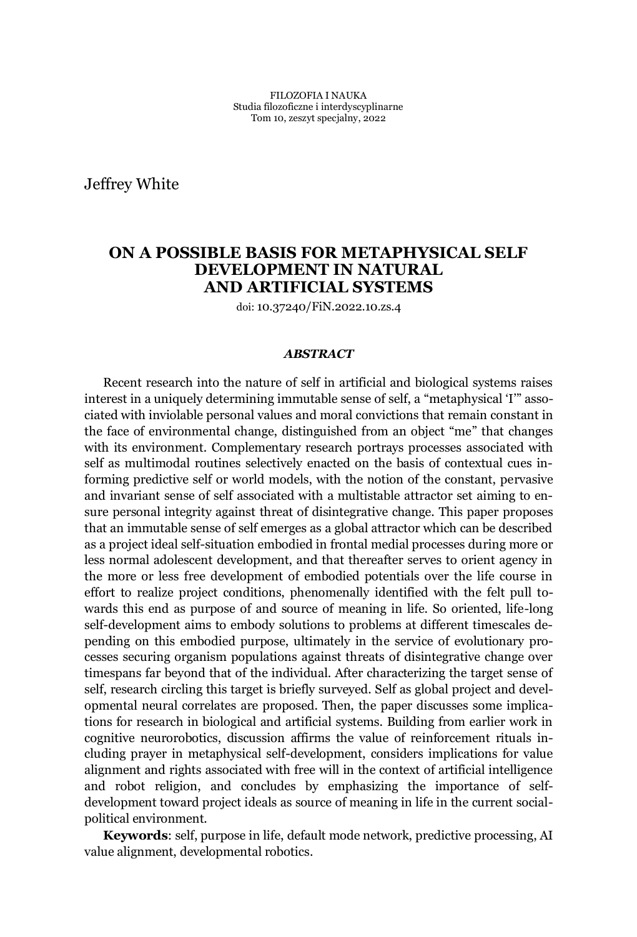Jeffrey White

# **ON A POSSIBLE BASIS FOR METAPHYSICAL SELF DEVELOPMENT IN NATURAL AND ARTIFICIAL SYSTEMS**

doi: 10.37240/FiN.2022.10.zs.4

#### *ABSTRACT*

Recent research into the nature of self in artificial and biological systems raises interest in a uniquely determining immutable sense of self, a "metaphysical 'I" associated with inviolable personal values and moral convictions that remain constant in the face of environmental change, distinguished from an object "me" that changes with its environment. Complementary research portrays processes associated with self as multimodal routines selectively enacted on the basis of contextual cues informing predictive self or world models, with the notion of the constant, pervasive and invariant sense of self associated with a multistable attractor set aiming to ensure personal integrity against threat of disintegrative change. This paper proposes that an immutable sense of self emerges as a global attractor which can be described as a project ideal self-situation embodied in frontal medial processes during more or less normal adolescent development, and that thereafter serves to orient agency in the more or less free development of embodied potentials over the life course in effort to realize project conditions, phenomenally identified with the felt pull towards this end as purpose of and source of meaning in life. So oriented, life-long self-development aims to embody solutions to problems at different timescales depending on this embodied purpose, ultimately in the service of evolutionary processes securing organism populations against threats of disintegrative change over timespans far beyond that of the individual. After characterizing the target sense of self, research circling this target is briefly surveyed. Self as global project and developmental neural correlates are proposed. Then, the paper discusses some implications for research in biological and artificial systems. Building from earlier work in cognitive neurorobotics, discussion affirms the value of reinforcement rituals including prayer in metaphysical self-development, considers implications for value alignment and rights associated with free will in the context of artificial intelligence and robot religion, and concludes by emphasizing the importance of selfdevelopment toward project ideals as source of meaning in life in the current socialpolitical environment.

**Keywords**: self, purpose in life, default mode network, predictive processing, AI value alignment, developmental robotics.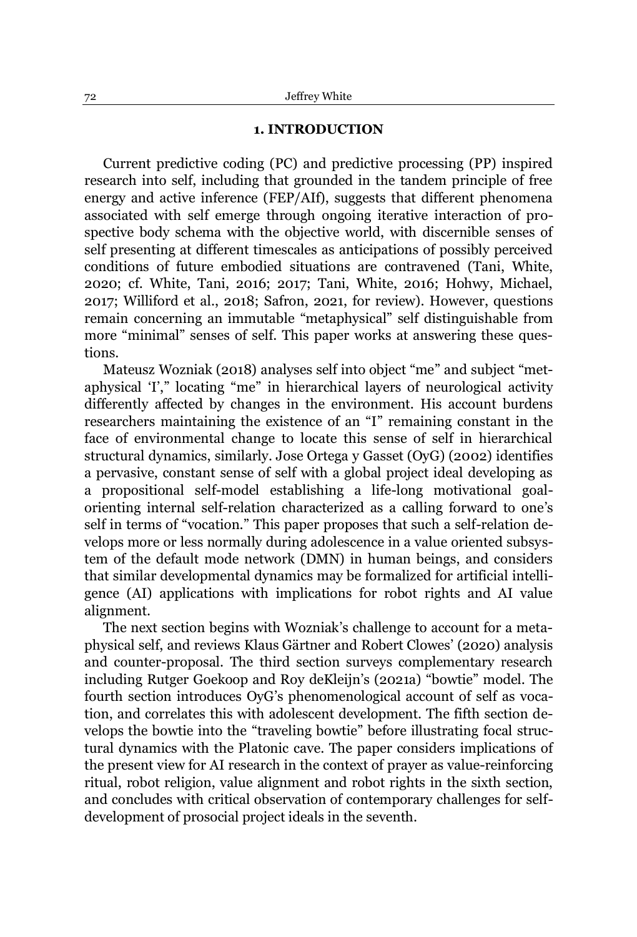#### **1. INTRODUCTION**

Current predictive coding (PC) and predictive processing (PP) inspired research into self, including that grounded in the tandem principle of free energy and active inference (FEP/AIf), suggests that different phenomena associated with self emerge through ongoing iterative interaction of prospective body schema with the objective world, with discernible senses of self presenting at different timescales as anticipations of possibly perceived conditions of future embodied situations are contravened (Tani, White, 2020; cf. White, Tani, 2016; 2017; Tani, White, 2016; Hohwy, Michael, 2017; Williford et al., 2018; Safron, 2021, for review). However, questions remain concerning an immutable "metaphysical" self distinguishable from more "minimal" senses of self. This paper works at answering these questions.

Mateusz Wozniak (2018) analyses self into object "me" and subject "metaphysical 'I'," locating "me" in hierarchical layers of neurological activity differently affected by changes in the environment. His account burdens researchers maintaining the existence of an "I" remaining constant in the face of environmental change to locate this sense of self in hierarchical structural dynamics, similarly. Jose Ortega y Gasset (OyG) (2002) identifies a pervasive, constant sense of self with a global project ideal developing as a propositional self-model establishing a life-long motivational goalorienting internal self-relation characterized as a calling forward to one's self in terms of "vocation." This paper proposes that such a self-relation develops more or less normally during adolescence in a value oriented subsystem of the default mode network (DMN) in human beings, and considers that similar developmental dynamics may be formalized for artificial intelligence (AI) applications with implications for robot rights and AI value alignment.

The next section begins with Wozniak's challenge to account for a metaphysical self, and reviews Klaus Gärtner and Robert Clowes' (2020) analysis and counter-proposal. The third section surveys complementary research including Rutger Goekoop and Roy deKleijn's (2021a) "bowtie" model. The fourth section introduces OyG's phenomenological account of self as vocation, and correlates this with adolescent development. The fifth section develops the bowtie into the "traveling bowtie" before illustrating focal structural dynamics with the Platonic cave. The paper considers implications of the present view for AI research in the context of prayer as value-reinforcing ritual, robot religion, value alignment and robot rights in the sixth section, and concludes with critical observation of contemporary challenges for selfdevelopment of prosocial project ideals in the seventh.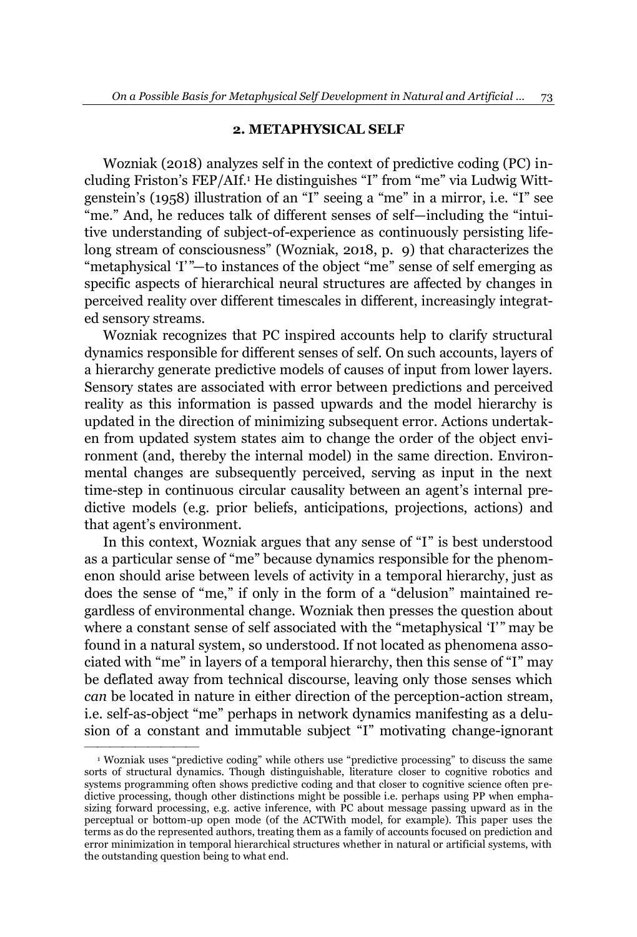### **2. METAPHYSICAL SELF**

Wozniak (2018) analyzes self in the context of predictive coding (PC) including Friston's FEP/AIf.<sup>1</sup> He distinguishes "I" from "me" via Ludwig Wittgenstein's (1958) illustration of an "I" seeing a "me" in a mirror, i.e. "I" see "me." And, he reduces talk of different senses of self—including the "intuitive understanding of subject-of-experience as continuously persisting lifelong stream of consciousness" (Wozniak, 2018, p. 9) that characterizes the "metaphysical 'I'"—to instances of the object "me" sense of self emerging as specific aspects of hierarchical neural structures are affected by changes in perceived reality over different timescales in different, increasingly integrated sensory streams.

Wozniak recognizes that PC inspired accounts help to clarify structural dynamics responsible for different senses of self. On such accounts, layers of a hierarchy generate predictive models of causes of input from lower layers. Sensory states are associated with error between predictions and perceived reality as this information is passed upwards and the model hierarchy is updated in the direction of minimizing subsequent error. Actions undertaken from updated system states aim to change the order of the object environment (and, thereby the internal model) in the same direction. Environmental changes are subsequently perceived, serving as input in the next time-step in continuous circular causality between an agent's internal predictive models (e.g. prior beliefs, anticipations, projections, actions) and that agent's environment.

In this context, Wozniak argues that any sense of "I" is best understood as a particular sense of "me" because dynamics responsible for the phenomenon should arise between levels of activity in a temporal hierarchy, just as does the sense of "me," if only in the form of a "delusion" maintained regardless of environmental change. Wozniak then presses the question about where a constant sense of self associated with the "metaphysical 'I'" may be found in a natural system, so understood. If not located as phenomena associated with "me" in layers of a temporal hierarchy, then this sense of "I" may be deflated away from technical discourse, leaving only those senses which *can* be located in nature in either direction of the perception-action stream, i.e. self-as-object "me" perhaps in network dynamics manifesting as a delusion of a constant and immutable subject "I" motivating change-ignorant

²²²²²²²²²

 $1$  Wozniak uses "predictive coding" while others use "predictive processing" to discuss the same sorts of structural dynamics. Though distinguishable, literature closer to cognitive robotics and systems programming often shows predictive coding and that closer to cognitive science often predictive processing, though other distinctions might be possible i.e. perhaps using PP when emphasizing forward processing, e.g. active inference, with PC about message passing upward as in the perceptual or bottom-up open mode (of the ACTWith model, for example). This paper uses the terms as do the represented authors, treating them as a family of accounts focused on prediction and error minimization in temporal hierarchical structures whether in natural or artificial systems, with the outstanding question being to what end.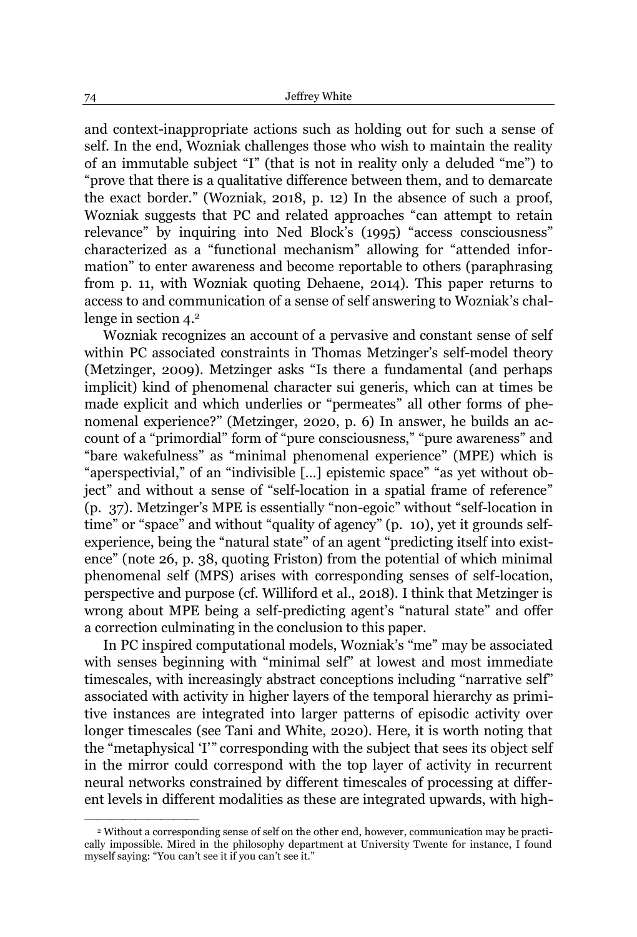and context-inappropriate actions such as holding out for such a sense of self. In the end, Wozniak challenges those who wish to maintain the reality of an immutable subject "I" (that is not in reality only a deluded "me") to "prove that there is a qualitative difference between them, and to demarcate the exact border." (Wozniak, 2018, p. 12) In the absence of such a proof, Wozniak suggests that PC and related approaches "can attempt to retain relevance" by inquiring into Ned Block's (1995) "access consciousness" characterized as a "functional mechanism" allowing for "attended information" to enter awareness and become reportable to others (paraphrasing from p. 11, with Wozniak quoting Dehaene, 2014). This paper returns to access to and communication of a sense of self answering to Wozniak's challenge in section 4.<sup>2</sup>

Wozniak recognizes an account of a pervasive and constant sense of self within PC associated constraints in Thomas Metzinger's self-model theory (Metzinger, 2009). Metzinger asks "Is there a fundamental (and perhaps implicit) kind of phenomenal character sui generis, which can at times be made explicit and which underlies or "permeates" all other forms of phenomenal experience?" (Metzinger, 2020, p. 6) In answer, he builds an account of a "primordial" form of "pure consciousness," "pure awareness" and "bare wakefulness" as "minimal phenomenal experience" (MPE) which is "aperspectivial," of an "indivisible [...] epistemic space" "as yet without object" and without a sense of "self-location in a spatial frame of reference" (p. 37). Metzinger's MPE is essentially "non-egoic" without "self-location in time" or "space" and without "quality of agency" (p. 10), yet it grounds selfexperience, being the "natural state" of an agent "predicting itself into existence" (note 26, p. 38, quoting Friston) from the potential of which minimal phenomenal self (MPS) arises with corresponding senses of self-location, perspective and purpose (cf. Williford et al., 2018). I think that Metzinger is wrong about MPE being a self-predicting agent's "natural state" and offer a correction culminating in the conclusion to this paper.

In PC inspired computational models, Wozniak's "me" may be associated with senses beginning with "minimal self" at lowest and most immediate timescales, with increasingly abstract conceptions including "narrative self" associated with activity in higher layers of the temporal hierarchy as primitive instances are integrated into larger patterns of episodic activity over longer timescales (see Tani and White, 2020). Here, it is worth noting that the "metaphysical 'I'" corresponding with the subject that sees its object self in the mirror could correspond with the top layer of activity in recurrent neural networks constrained by different timescales of processing at different levels in different modalities as these are integrated upwards, with high-

²²²²²²²²²

<sup>2</sup> Without a corresponding sense of self on the other end, however, communication may be practically impossible. Mired in the philosophy department at University Twente for instance, I found myself saying: "You can't see it if you can't see it."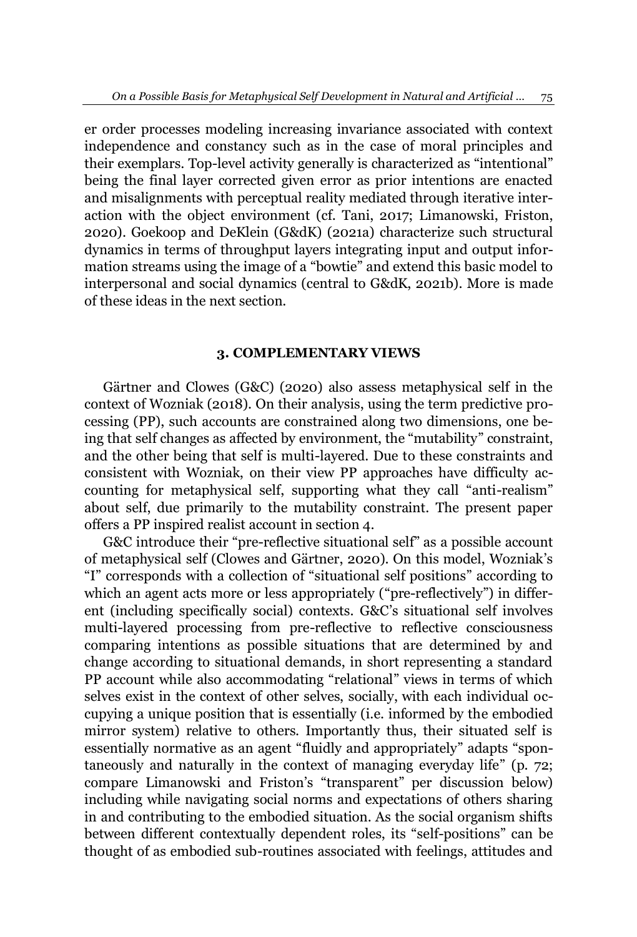er order processes modeling increasing invariance associated with context independence and constancy such as in the case of moral principles and their exemplars. Top-level activity generally is characterized as "intentional" being the final layer corrected given error as prior intentions are enacted and misalignments with perceptual reality mediated through iterative interaction with the object environment (cf. Tani, 2017; Limanowski, Friston, 2020). Goekoop and DeKlein (G&dK) (2021a) characterize such structural dynamics in terms of throughput layers integrating input and output information streams using the image of a "bowtie" and extend this basic model to interpersonal and social dynamics (central to G&dK, 2021b). More is made of these ideas in the next section.

## **3. COMPLEMENTARY VIEWS**

Gärtner and Clowes (G&C) (2020) also assess metaphysical self in the context of Wozniak (2018). On their analysis, using the term predictive processing (PP), such accounts are constrained along two dimensions, one being that self changes as affected by environment, the "mutability" constraint, and the other being that self is multi-layered. Due to these constraints and consistent with Wozniak, on their view PP approaches have difficulty accounting for metaphysical self, supporting what they call "anti-realism" about self, due primarily to the mutability constraint. The present paper offers a PP inspired realist account in section 4.

G&C introduce their "pre-reflective situational self" as a possible account of metaphysical self (Clowes and Gärtner, 2020). On this model, Wozniak's "I" corresponds with a collection of "situational self positions" according to which an agent acts more or less appropriately ("pre-reflectively") in different (including specifically social) contexts. G&C's situational self involves multi-layered processing from pre-reflective to reflective consciousness comparing intentions as possible situations that are determined by and change according to situational demands, in short representing a standard PP account while also accommodating "relational" views in terms of which selves exist in the context of other selves, socially, with each individual occupying a unique position that is essentially (i.e. informed by the embodied mirror system) relative to others. Importantly thus, their situated self is essentially normative as an agent "fluidly and appropriately" adapts "spontaneously and naturally in the context of managing everyday life" (p. 72; compare Limanowski and Friston's "transparent" per discussion below) including while navigating social norms and expectations of others sharing in and contributing to the embodied situation. As the social organism shifts between different contextually dependent roles, its "self-positions" can be thought of as embodied sub-routines associated with feelings, attitudes and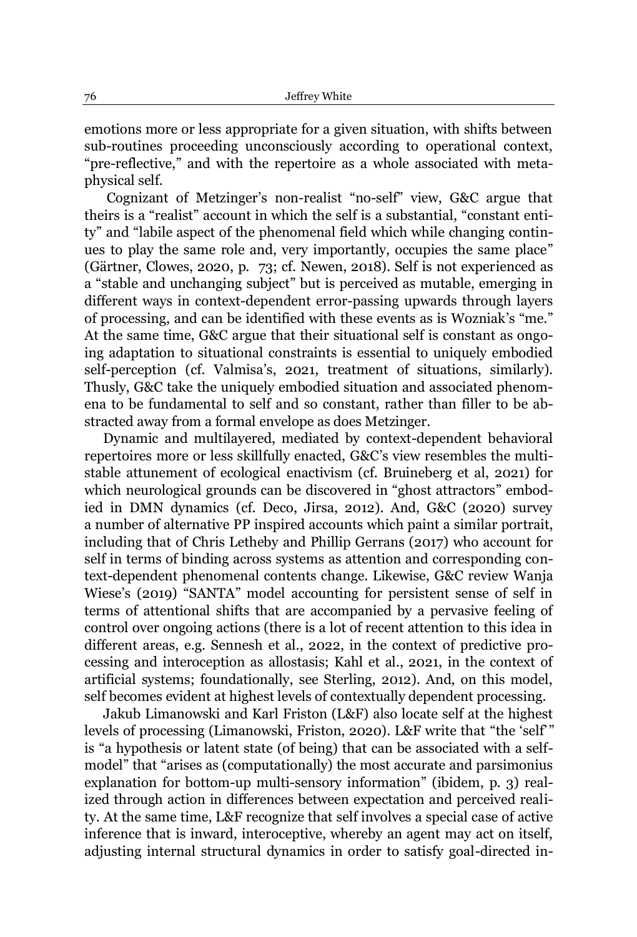emotions more or less appropriate for a given situation, with shifts between sub-routines proceeding unconsciously according to operational context, "pre-reflective," and with the repertoire as a whole associated with metaphysical self.

Cognizant of Metzinger's non-realist "no-self" view, G&C argue that theirs is a "realist" account in which the self is a substantial, "constant entity" and "labile aspect of the phenomenal field which while changing continues to play the same role and, very importantly, occupies the same place" (Gärtner, Clowes, 2020, p.  $73$ ; cf. Newen, 2018). Self is not experienced as a "stable and unchanging subject" but is perceived as mutable, emerging in different ways in context-dependent error-passing upwards through layers of processing, and can be identified with these events as is Wozniak's "me." At the same time, G&C argue that their situational self is constant as ongoing adaptation to situational constraints is essential to uniquely embodied self-perception (cf. Valmisa's, 2021, treatment of situations, similarly). Thusly, G&C take the uniquely embodied situation and associated phenomena to be fundamental to self and so constant, rather than filler to be abstracted away from a formal envelope as does Metzinger.

Dynamic and multilayered, mediated by context-dependent behavioral repertoires more or less skillfully enacted, G&C's view resembles the multistable attunement of ecological enactivism (cf. Bruineberg et al, 2021) for which neurological grounds can be discovered in "ghost attractors" embodied in DMN dynamics (cf. Deco, Jirsa, 2012). And, G&C (2020) survey a number of alternative PP inspired accounts which paint a similar portrait, including that of Chris Letheby and Phillip Gerrans (2017) who account for self in terms of binding across systems as attention and corresponding context-dependent phenomenal contents change. Likewise, G&C review Wanja Wiese's (2019) "SANTA" model accounting for persistent sense of self in terms of attentional shifts that are accompanied by a pervasive feeling of control over ongoing actions (there is a lot of recent attention to this idea in different areas, e.g. Sennesh et al., 2022, in the context of predictive processing and interoception as allostasis; Kahl et al., 2021, in the context of artificial systems; foundationally, see Sterling, 2012). And, on this model, self becomes evident at highest levels of contextually dependent processing.

Jakub Limanowski and Karl Friston (L&F) also locate self at the highest levels of processing (Limanowski, Friston, 2020). L&F write that "the 'self" is "a hypothesis or latent state (of being) that can be associated with a selfmodel" that "arises as (computationally) the most accurate and parsimonius explanation for bottom-up multi-sensory information" (ibidem, p. 3) realized through action in differences between expectation and perceived reality. At the same time, L&F recognize that self involves a special case of active inference that is inward, interoceptive, whereby an agent may act on itself, adjusting internal structural dynamics in order to satisfy goal-directed in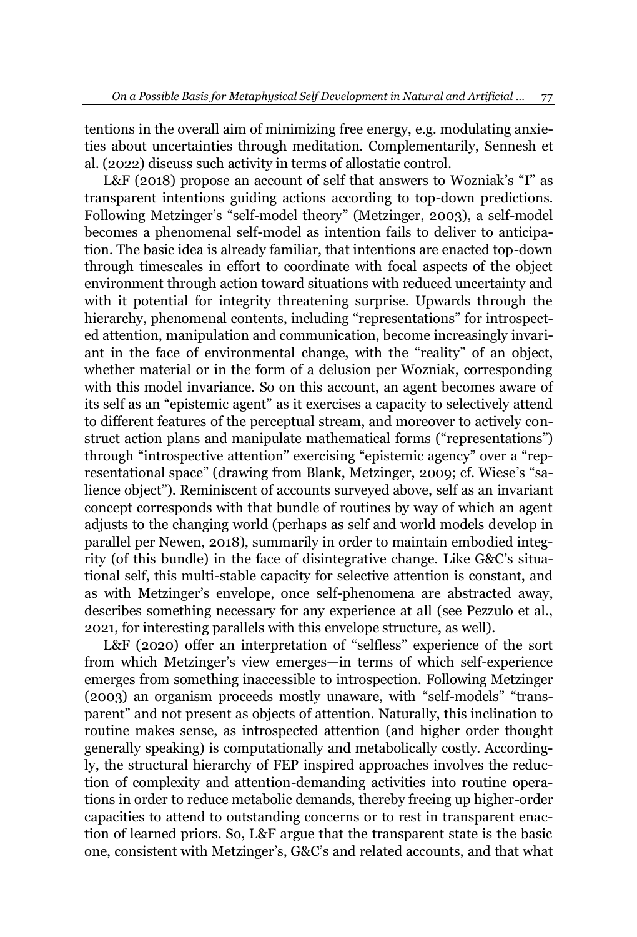tentions in the overall aim of minimizing free energy, e.g. modulating anxieties about uncertainties through meditation. Complementarily, Sennesh et al. (2022) discuss such activity in terms of allostatic control.

L&F (2018) propose an account of self that answers to Wozniak's "I" as transparent intentions guiding actions according to top-down predictions. Following Metzinger's "self-model theory" (Metzinger, 2003), a self-model becomes a phenomenal self-model as intention fails to deliver to anticipation. The basic idea is already familiar, that intentions are enacted top-down through timescales in effort to coordinate with focal aspects of the object environment through action toward situations with reduced uncertainty and with it potential for integrity threatening surprise. Upwards through the hierarchy, phenomenal contents, including "representations" for introspected attention, manipulation and communication, become increasingly invariant in the face of environmental change, with the "reality" of an object, whether material or in the form of a delusion per Wozniak, corresponding with this model invariance. So on this account, an agent becomes aware of its self as an "epistemic agent" as it exercises a capacity to selectively attend to different features of the perceptual stream, and moreover to actively construct action plans and manipulate mathematical forms ("representations") through "introspective attention" exercising "epistemic agency" over a "representational space" (drawing from Blank, Metzinger, 2009; cf. Wiese's "salience object´). Reminiscent of accounts surveyed above, self as an invariant concept corresponds with that bundle of routines by way of which an agent adjusts to the changing world (perhaps as self and world models develop in parallel per Newen, 2018), summarily in order to maintain embodied integrity (of this bundle) in the face of disintegrative change. Like G&C's situational self, this multi-stable capacity for selective attention is constant, and as with Metzinger's envelope, once self-phenomena are abstracted away, describes something necessary for any experience at all (see Pezzulo et al., 2021, for interesting parallels with this envelope structure, as well).

L&F (2020) offer an interpretation of "selfless" experience of the sort from which Metzinger's view emerges—in terms of which self-experience emerges from something inaccessible to introspection. Following Metzinger (2003) an organism proceeds mostly unaware, with "self-models" "transparent" and not present as objects of attention. Naturally, this inclination to routine makes sense, as introspected attention (and higher order thought generally speaking) is computationally and metabolically costly. Accordingly, the structural hierarchy of FEP inspired approaches involves the reduction of complexity and attention-demanding activities into routine operations in order to reduce metabolic demands, thereby freeing up higher-order capacities to attend to outstanding concerns or to rest in transparent enaction of learned priors. So, L&F argue that the transparent state is the basic one, consistent with Metzinger's, G&C's and related accounts, and that what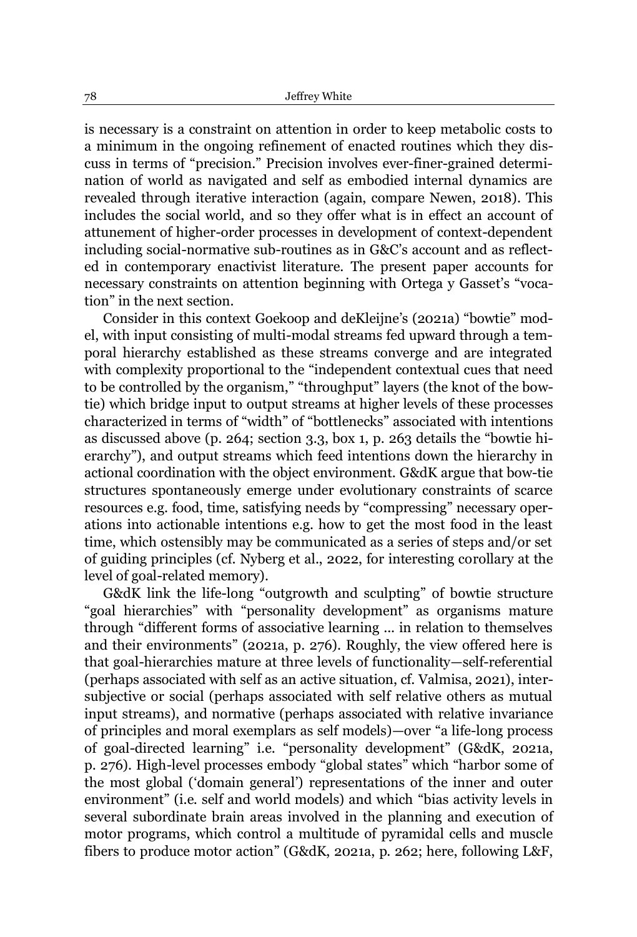is necessary is a constraint on attention in order to keep metabolic costs to a minimum in the ongoing refinement of enacted routines which they discuss in terms of "precision." Precision involves ever-finer-grained determination of world as navigated and self as embodied internal dynamics are revealed through iterative interaction (again, compare Newen, 2018). This includes the social world, and so they offer what is in effect an account of attunement of higher-order processes in development of context-dependent including social-normative sub-routines as in G&C's account and as reflected in contemporary enactivist literature. The present paper accounts for necessary constraints on attention beginning with Ortega y Gasset's "vocation" in the next section.

Consider in this context Goekoop and deKleijne's (2021a) "bowtie" model, with input consisting of multi-modal streams fed upward through a temporal hierarchy established as these streams converge and are integrated with complexity proportional to the "independent contextual cues that need to be controlled by the organism," "throughput" layers (the knot of the bowtie) which bridge input to output streams at higher levels of these processes characterized in terms of "width" of "bottlenecks" associated with intentions as discussed above (p. 264; section  $3.3$ , box 1, p. 263 details the "bowtie hierarchy´), and output streams which feed intentions down the hierarchy in actional coordination with the object environment. G&dK argue that bow-tie structures spontaneously emerge under evolutionary constraints of scarce resources e.g. food, time, satisfying needs by "compressing" necessary operations into actionable intentions e.g. how to get the most food in the least time, which ostensibly may be communicated as a series of steps and/or set of guiding principles (cf. Nyberg et al., 2022, for interesting corollary at the level of goal-related memory).

G&dK link the life-long "outgrowth and sculpting" of bowtie structure "goal hierarchies" with "personality development" as organisms mature through "different forms of associative learning ... in relation to themselves and their environments" (2021a, p.  $276$ ). Roughly, the view offered here is that goal-hierarchies mature at three levels of functionality—self-referential (perhaps associated with self as an active situation, cf. Valmisa, 2021), intersubjective or social (perhaps associated with self relative others as mutual input streams), and normative (perhaps associated with relative invariance of principles and moral exemplars as self models)—over "a life-long process of goal-directed learning" i.e. "personality development" (G&dK, 2021a, p. 276). High-level processes embody "global states" which "harbor some of the most global ('domain general') representations of the inner and outer environment" (i.e. self and world models) and which "bias activity levels in several subordinate brain areas involved in the planning and execution of motor programs, which control a multitude of pyramidal cells and muscle fibers to produce motor action" (G&dK, 2021a, p. 262; here, following L&F,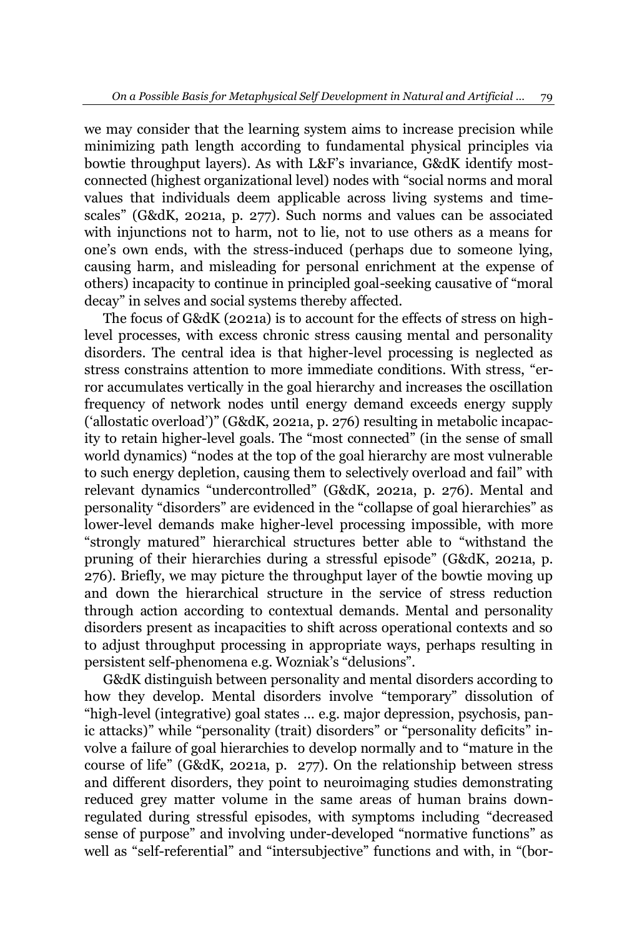we may consider that the learning system aims to increase precision while minimizing path length according to fundamental physical principles via bowtie throughput layers). As with L&F's invariance, G&dK identify mostconnected (highest organizational level) nodes with "social norms and moral values that individuals deem applicable across living systems and timescales´ (G&dK, 2021a, p. 277). Such norms and values can be associated with injunctions not to harm, not to lie, not to use others as a means for one's own ends, with the stress-induced (perhaps due to someone lying, causing harm, and misleading for personal enrichment at the expense of others) incapacity to continue in principled goal-seeking causative of "moral" decay" in selves and social systems thereby affected.

The focus of G&dK (2021a) is to account for the effects of stress on highlevel processes, with excess chronic stress causing mental and personality disorders. The central idea is that higher-level processing is neglected as stress constrains attention to more immediate conditions. With stress, "error accumulates vertically in the goal hierarchy and increases the oscillation frequency of network nodes until energy demand exceeds energy supply ('allostatic overload')" (G&dK, 2021a, p. 276) resulting in metabolic incapacity to retain higher-level goals. The "most connected" (in the sense of small world dynamics) "nodes at the top of the goal hierarchy are most vulnerable to such energy depletion, causing them to selectively overload and fail´ with relevant dynamics "undercontrolled" (G&dK, 2021a, p. 276). Mental and personality "disorders" are evidenced in the "collapse of goal hierarchies" as lower-level demands make higher-level processing impossible, with more "strongly matured" hierarchical structures better able to "withstand the pruning of their hierarchies during a stressful episode" (G&dK, 2021a, p. 276). Briefly, we may picture the throughput layer of the bowtie moving up and down the hierarchical structure in the service of stress reduction through action according to contextual demands. Mental and personality disorders present as incapacities to shift across operational contexts and so to adjust throughput processing in appropriate ways, perhaps resulting in persistent self-phenomena e.g. Wozniak's "delusions".

G&dK distinguish between personality and mental disorders according to how they develop. Mental disorders involve "temporary" dissolution of "high-level (integrative) goal states ... e.g. major depression, psychosis, panic attacks)" while "personality (trait) disorders" or "personality deficits" involve a failure of goal hierarchies to develop normally and to "mature in the course of life´ (G&dK, 2021a, p. 277). On the relationship between stress and different disorders, they point to neuroimaging studies demonstrating reduced grey matter volume in the same areas of human brains downregulated during stressful episodes, with symptoms including "decreased sense of purpose" and involving under-developed "normative functions" as well as "self-referential" and "intersubjective" functions and with, in "(bor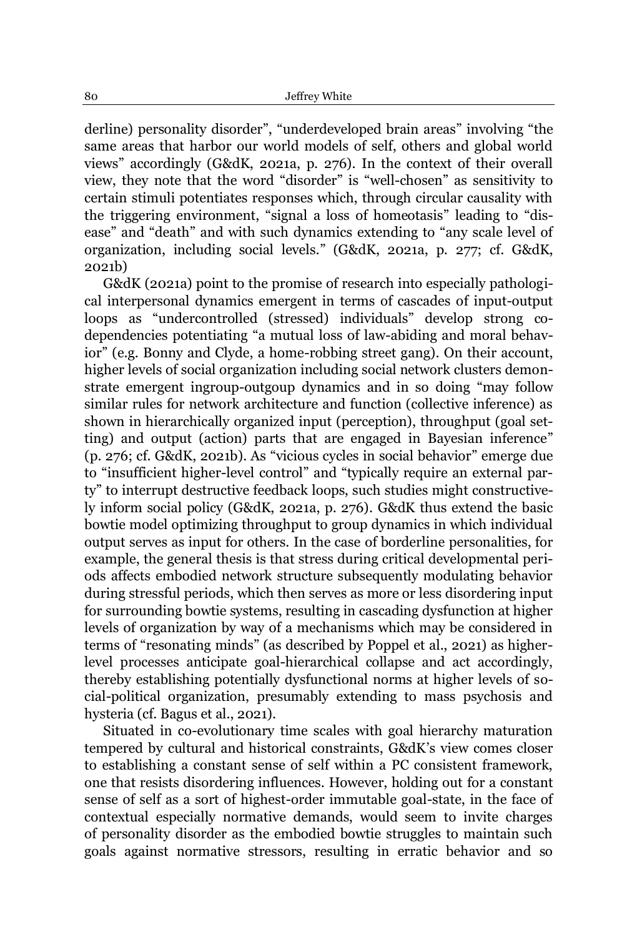derline) personality disorder", "underdeveloped brain areas" involving "the same areas that harbor our world models of self, others and global world views´ accordingly (G&dK, 2021a, p. 276). In the context of their overall view, they note that the word "disorder" is "well-chosen" as sensitivity to certain stimuli potentiates responses which, through circular causality with the triggering environment, "signal a loss of homeotasis" leading to "disease" and "death" and with such dynamics extending to "any scale level of organization, including social levels.´ (G&dK, 2021a, p. 277; cf. G&dK, 2021b)

G&dK (2021a) point to the promise of research into especially pathological interpersonal dynamics emergent in terms of cascades of input-output loops as "undercontrolled (stressed) individuals" develop strong codependencies potentiating "a mutual loss of law-abiding and moral behavior" (e.g. Bonny and Clyde, a home-robbing street gang). On their account, higher levels of social organization including social network clusters demonstrate emergent ingroup-outgoup dynamics and in so doing "may follow" similar rules for network architecture and function (collective inference) as shown in hierarchically organized input (perception), throughput (goal setting) and output (action) parts that are engaged in Bayesian inference<sup>"</sup> (p. 276; cf. G&dK, 2021b). As "vicious cycles in social behavior" emerge due to "insufficient higher-level control" and "typically require an external party´ to interrupt destructive feedback loops, such studies might constructively inform social policy (G&dK, 2021a, p. 276). G&dK thus extend the basic bowtie model optimizing throughput to group dynamics in which individual output serves as input for others. In the case of borderline personalities, for example, the general thesis is that stress during critical developmental periods affects embodied network structure subsequently modulating behavior during stressful periods, which then serves as more or less disordering input for surrounding bowtie systems, resulting in cascading dysfunction at higher levels of organization by way of a mechanisms which may be considered in terms of "resonating minds" (as described by Poppel et al., 2021) as higherlevel processes anticipate goal-hierarchical collapse and act accordingly, thereby establishing potentially dysfunctional norms at higher levels of social-political organization, presumably extending to mass psychosis and hysteria (cf. Bagus et al., 2021).

Situated in co-evolutionary time scales with goal hierarchy maturation tempered by cultural and historical constraints, G&dK's view comes closer to establishing a constant sense of self within a PC consistent framework, one that resists disordering influences. However, holding out for a constant sense of self as a sort of highest-order immutable goal-state, in the face of contextual especially normative demands, would seem to invite charges of personality disorder as the embodied bowtie struggles to maintain such goals against normative stressors, resulting in erratic behavior and so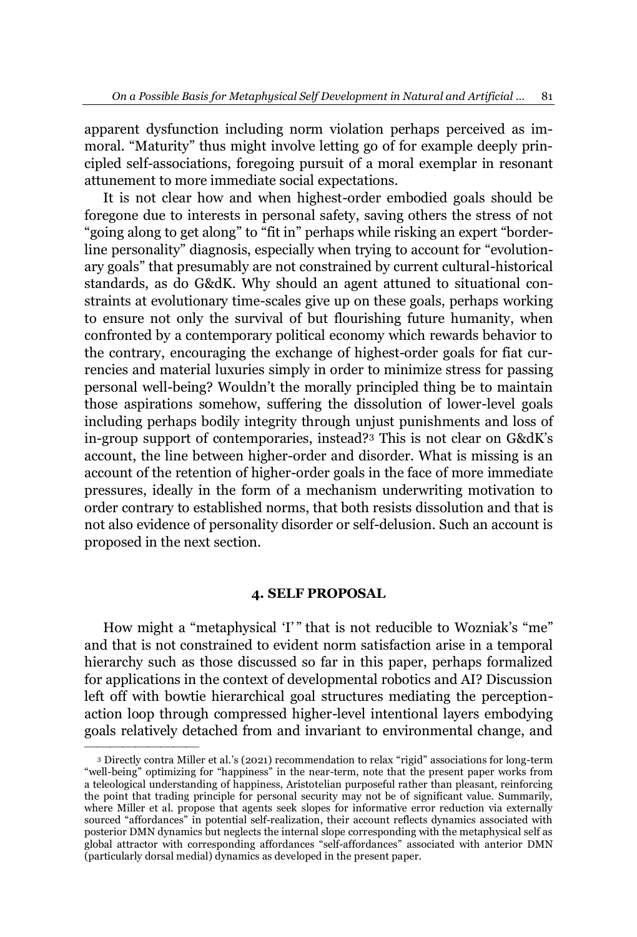apparent dysfunction including norm violation perhaps perceived as immoral. "Maturity" thus might involve letting go of for example deeply principled self-associations, foregoing pursuit of a moral exemplar in resonant attunement to more immediate social expectations.

It is not clear how and when highest-order embodied goals should be foregone due to interests in personal safety, saving others the stress of not "going along to get along" to "fit in" perhaps while risking an expert "borderline personality" diagnosis, especially when trying to account for "evolutionary goals" that presumably are not constrained by current cultural-historical standards, as do G&dK. Why should an agent attuned to situational constraints at evolutionary time-scales give up on these goals, perhaps working to ensure not only the survival of but flourishing future humanity, when confronted by a contemporary political economy which rewards behavior to the contrary, encouraging the exchange of highest-order goals for fiat currencies and material luxuries simply in order to minimize stress for passing personal well-being? Wouldn't the morally principled thing be to maintain those aspirations somehow, suffering the dissolution of lower-level goals including perhaps bodily integrity through unjust punishments and loss of in-group support of contemporaries, instead?<sup>3</sup> This is not clear on G&dK's account, the line between higher-order and disorder. What is missing is an account of the retention of higher-order goals in the face of more immediate pressures, ideally in the form of a mechanism underwriting motivation to order contrary to established norms, that both resists dissolution and that is not also evidence of personality disorder or self-delusion. Such an account is proposed in the next section.

### **4. SELF PROPOSAL**

How might a "metaphysical 'I'" that is not reducible to Wozniak's "me" and that is not constrained to evident norm satisfaction arise in a temporal hierarchy such as those discussed so far in this paper, perhaps formalized for applications in the context of developmental robotics and AI? Discussion left off with bowtie hierarchical goal structures mediating the perceptionaction loop through compressed higher-level intentional layers embodying goals relatively detached from and invariant to environmental change, and

²²²²²²²²²

<sup>&</sup>lt;sup>3</sup> Directly contra Miller et al.'s (2021) recommendation to relax "rigid" associations for long-term "well-being" optimizing for "happiness" in the near-term, note that the present paper works from a teleological understanding of happiness, Aristotelian purposeful rather than pleasant, reinforcing the point that trading principle for personal security may not be of significant value. Summarily, where Miller et al. propose that agents seek slopes for informative error reduction via externally sourced "affordances" in potential self-realization, their account reflects dynamics associated with posterior DMN dynamics but neglects the internal slope corresponding with the metaphysical self as global attractor with corresponding affordances "self-affordances" associated with anterior DMN (particularly dorsal medial) dynamics as developed in the present paper.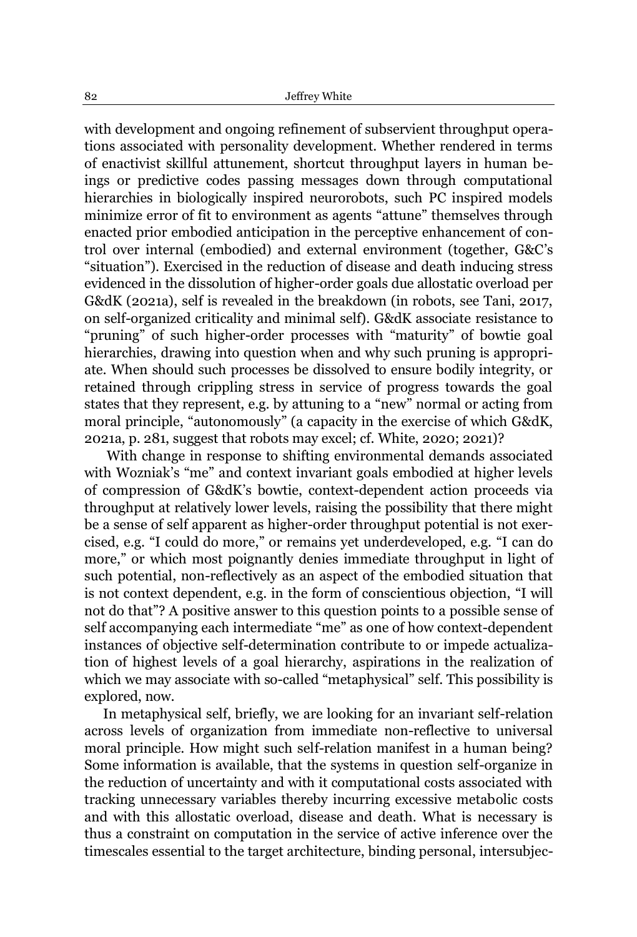with development and ongoing refinement of subservient throughput operations associated with personality development. Whether rendered in terms of enactivist skillful attunement, shortcut throughput layers in human beings or predictive codes passing messages down through computational hierarchies in biologically inspired neurorobots, such PC inspired models minimize error of fit to environment as agents "attune" themselves through enacted prior embodied anticipation in the perceptive enhancement of control over internal (embodied) and external environment (together, G&C's ³situation´). Exercised in the reduction of disease and death inducing stress evidenced in the dissolution of higher-order goals due allostatic overload per G&dK (2021a), self is revealed in the breakdown (in robots, see Tani, 2017, on self-organized criticality and minimal self). G&dK associate resistance to "pruning" of such higher-order processes with "maturity" of bowtie goal hierarchies, drawing into question when and why such pruning is appropriate. When should such processes be dissolved to ensure bodily integrity, or retained through crippling stress in service of progress towards the goal states that they represent, e.g. by attuning to a "new" normal or acting from moral principle, "autonomously" (a capacity in the exercise of which G&dK, 2021a, p. 281, suggest that robots may excel; cf. White, 2020; 2021)?

With change in response to shifting environmental demands associated with Wozniak's "me" and context invariant goals embodied at higher levels of compression of G&dK's bowtie, context-dependent action proceeds via throughput at relatively lower levels, raising the possibility that there might be a sense of self apparent as higher-order throughput potential is not exercised, e.g. "I could do more," or remains yet underdeveloped, e.g. "I can do more," or which most poignantly denies immediate throughput in light of such potential, non-reflectively as an aspect of the embodied situation that is not context dependent, e.g. in the form of conscientious objection, "I will not do that´? A positive answer to this question points to a possible sense of self accompanying each intermediate "me" as one of how context-dependent instances of objective self-determination contribute to or impede actualization of highest levels of a goal hierarchy, aspirations in the realization of which we may associate with so-called "metaphysical" self. This possibility is explored, now.

In metaphysical self, briefly, we are looking for an invariant self-relation across levels of organization from immediate non-reflective to universal moral principle. How might such self-relation manifest in a human being? Some information is available, that the systems in question self-organize in the reduction of uncertainty and with it computational costs associated with tracking unnecessary variables thereby incurring excessive metabolic costs and with this allostatic overload, disease and death. What is necessary is thus a constraint on computation in the service of active inference over the timescales essential to the target architecture, binding personal, intersubjec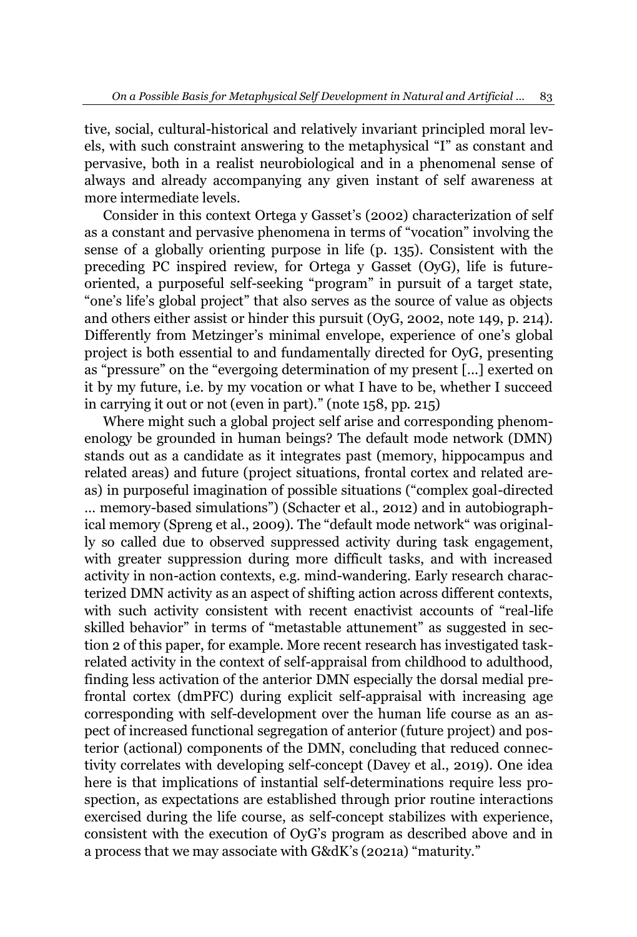tive, social, cultural-historical and relatively invariant principled moral levels, with such constraint answering to the metaphysical "I" as constant and pervasive, both in a realist neurobiological and in a phenomenal sense of always and already accompanying any given instant of self awareness at more intermediate levels.

Consider in this context Ortega y Gasset's (2002) characterization of self as a constant and pervasive phenomena in terms of "vocation" involving the sense of a globally orienting purpose in life (p. 135). Consistent with the preceding PC inspired review, for Ortega y Gasset (OyG), life is futureoriented, a purposeful self-seeking "program" in pursuit of a target state, "one's life's global project" that also serves as the source of value as objects and others either assist or hinder this pursuit (OyG, 2002, note 149, p. 214). Differently from Metzinger's minimal envelope, experience of one's global project is both essential to and fundamentally directed for OyG, presenting as "pressure" on the "evergoing determination of my present [...] exerted on it by my future, i.e. by my vocation or what I have to be, whether I succeed in carrying it out or not (even in part)." (note 158, pp. 215)

Where might such a global project self arise and corresponding phenomenology be grounded in human beings? The default mode network (DMN) stands out as a candidate as it integrates past (memory, hippocampus and related areas) and future (project situations, frontal cortex and related areas) in purposeful imagination of possible situations ("complex goal-directed" ... memory-based simulations") (Schacter et al., 2012) and in autobiographical memory (Spreng et al., 2009). The "default mode network" was originally so called due to observed suppressed activity during task engagement, with greater suppression during more difficult tasks, and with increased activity in non-action contexts, e.g. mind-wandering. Early research characterized DMN activity as an aspect of shifting action across different contexts, with such activity consistent with recent enactivist accounts of "real-life skilled behavior" in terms of "metastable attunement" as suggested in section 2 of this paper, for example. More recent research has investigated taskrelated activity in the context of self-appraisal from childhood to adulthood, finding less activation of the anterior DMN especially the dorsal medial prefrontal cortex (dmPFC) during explicit self-appraisal with increasing age corresponding with self-development over the human life course as an aspect of increased functional segregation of anterior (future project) and posterior (actional) components of the DMN, concluding that reduced connectivity correlates with developing self-concept (Davey et al., 2019). One idea here is that implications of instantial self-determinations require less prospection, as expectations are established through prior routine interactions exercised during the life course, as self-concept stabilizes with experience, consistent with the execution of OyG's program as described above and in a process that we may associate with G&dK's (2021a) "maturity."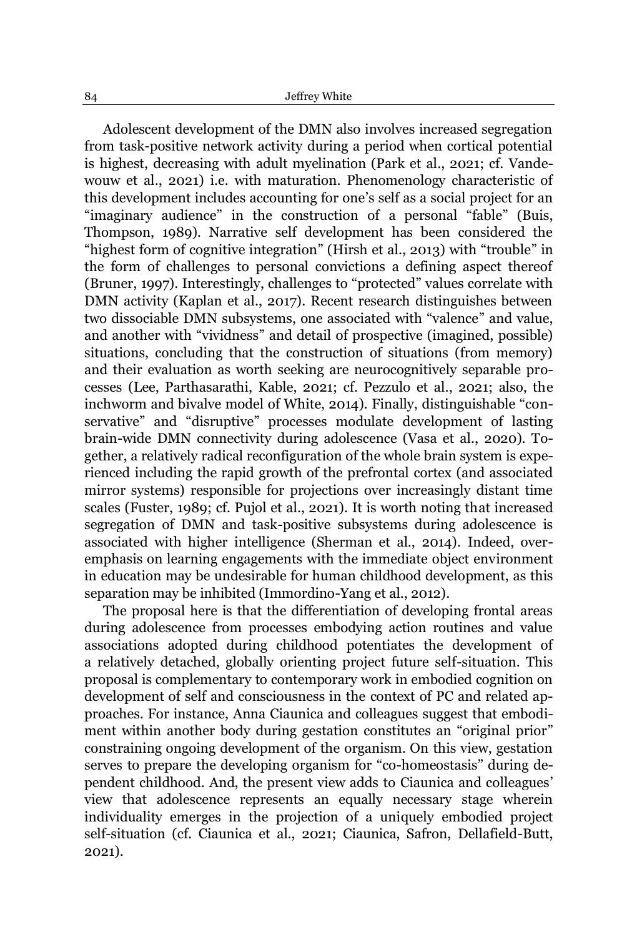Adolescent development of the DMN also involves increased segregation from task-positive network activity during a period when cortical potential is highest, decreasing with adult myelination (Park et al., 2021; cf. Vandewouw et al., 2021) i.e. with maturation. Phenomenology characteristic of this development includes accounting for one's self as a social project for an "imaginary audience" in the construction of a personal "fable" (Buis, Thompson, 1989). Narrative self development has been considered the "highest form of cognitive integration" (Hirsh et al., 2013) with "trouble" in the form of challenges to personal convictions a defining aspect thereof (Bruner, 1997). Interestingly, challenges to "protected" values correlate with DMN activity (Kaplan et al., 2017). Recent research distinguishes between two dissociable DMN subsystems, one associated with "valence" and value, and another with "vividness" and detail of prospective (imagined, possible) situations, concluding that the construction of situations (from memory) and their evaluation as worth seeking are neurocognitively separable processes (Lee, Parthasarathi, Kable, 2021; cf. Pezzulo et al., 2021; also, the inchworm and bivalve model of White, 2014). Finally, distinguishable "conservative" and "disruptive" processes modulate development of lasting brain-wide DMN connectivity during adolescence (Vasa et al., 2020). Together, a relatively radical reconfiguration of the whole brain system is experienced including the rapid growth of the prefrontal cortex (and associated mirror systems) responsible for projections over increasingly distant time scales (Fuster, 1989; cf. Pujol et al., 2021). It is worth noting that increased segregation of DMN and task-positive subsystems during adolescence is associated with higher intelligence (Sherman et al., 2014). Indeed, overemphasis on learning engagements with the immediate object environment in education may be undesirable for human childhood development, as this separation may be inhibited (Immordino-Yang et al., 2012).

The proposal here is that the differentiation of developing frontal areas during adolescence from processes embodying action routines and value associations adopted during childhood potentiates the development of a relatively detached, globally orienting project future self-situation. This proposal is complementary to contemporary work in embodied cognition on development of self and consciousness in the context of PC and related approaches. For instance, Anna Ciaunica and colleagues suggest that embodiment within another body during gestation constitutes an "original prior" constraining ongoing development of the organism. On this view, gestation serves to prepare the developing organism for "co-homeostasis" during dependent childhood. And, the present view adds to Ciaunica and colleagues' view that adolescence represents an equally necessary stage wherein individuality emerges in the projection of a uniquely embodied project self-situation (cf. Ciaunica et al., 2021; Ciaunica, Safron, Dellafield-Butt, 2021).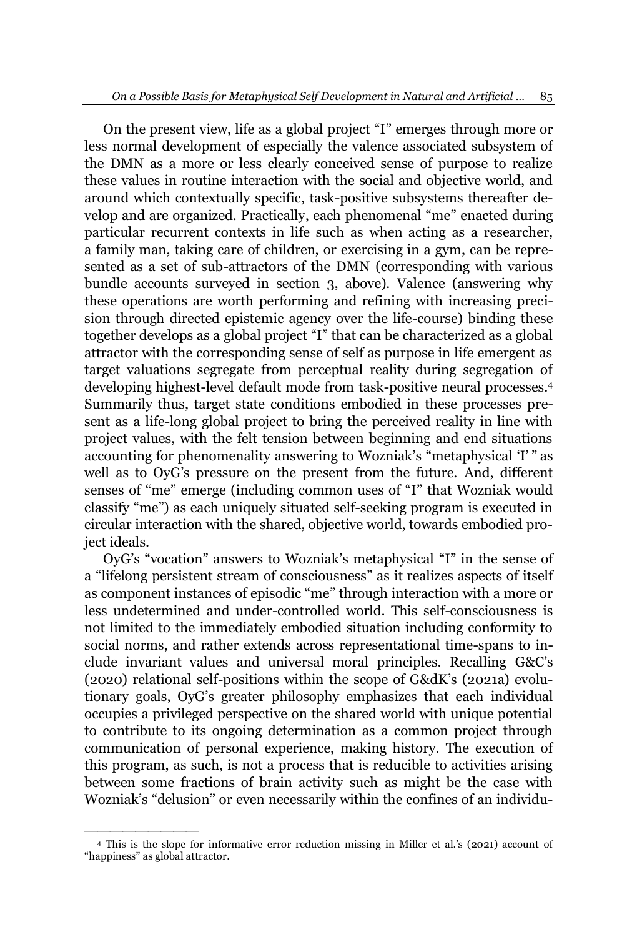On the present view, life as a global project "I" emerges through more or less normal development of especially the valence associated subsystem of the DMN as a more or less clearly conceived sense of purpose to realize these values in routine interaction with the social and objective world, and around which contextually specific, task-positive subsystems thereafter develop and are organized. Practically, each phenomenal "me" enacted during particular recurrent contexts in life such as when acting as a researcher, a family man, taking care of children, or exercising in a gym, can be represented as a set of sub-attractors of the DMN (corresponding with various bundle accounts surveyed in section 3, above). Valence (answering why these operations are worth performing and refining with increasing precision through directed epistemic agency over the life-course) binding these together develops as a global project "I" that can be characterized as a global attractor with the corresponding sense of self as purpose in life emergent as target valuations segregate from perceptual reality during segregation of developing highest-level default mode from task-positive neural processes.4 Summarily thus, target state conditions embodied in these processes present as a life-long global project to bring the perceived reality in line with project values, with the felt tension between beginning and end situations accounting for phenomenality answering to Wozniak's "metaphysical 'I'" as well as to OyG's pressure on the present from the future. And, different senses of "me" emerge (including common uses of "I" that Wozniak would classify "me") as each uniquely situated self-seeking program is executed in circular interaction with the shared, objective world, towards embodied project ideals.

OyG's "vocation" answers to Wozniak's metaphysical "I" in the sense of a "lifelong persistent stream of consciousness" as it realizes aspects of itself as component instances of episodic "me" through interaction with a more or less undetermined and under-controlled world. This self-consciousness is not limited to the immediately embodied situation including conformity to social norms, and rather extends across representational time-spans to include invariant values and universal moral principles. Recalling G&C's (2020) relational self-positions within the scope of G&dK's (2021a) evolutionary goals, OyG's greater philosophy emphasizes that each individual occupies a privileged perspective on the shared world with unique potential to contribute to its ongoing determination as a common project through communication of personal experience, making history. The execution of this program, as such, is not a process that is reducible to activities arising between some fractions of brain activity such as might be the case with Wozniak's "delusion" or even necessarily within the confines of an individu-

²²²²²²²²²

<sup>4</sup> This is the slope for informative error reduction missing in Miller et al.'s (2021) account of "happiness" as global attractor.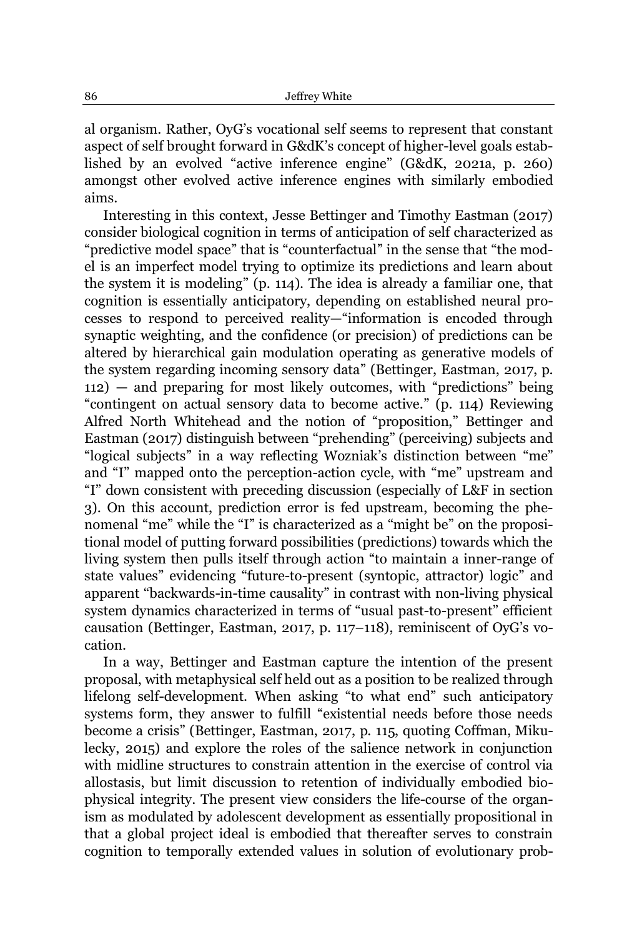al organism. Rather, OyG's vocational self seems to represent that constant aspect of self brought forward in G&dK's concept of higher-level goals established by an evolved "active inference engine" (G&dK, 2021a, p. 260) amongst other evolved active inference engines with similarly embodied aims.

Interesting in this context, Jesse Bettinger and Timothy Eastman (2017) consider biological cognition in terms of anticipation of self characterized as "predictive model space" that is "counterfactual" in the sense that "the model is an imperfect model trying to optimize its predictions and learn about the system it is modeling´ (p. 114). The idea is already a familiar one, that cognition is essentially anticipatory, depending on established neural processes to respond to perceived reality—"information is encoded through synaptic weighting, and the confidence (or precision) of predictions can be altered by hierarchical gain modulation operating as generative models of the system regarding incoming sensory data" (Bettinger, Eastman, 2017, p.  $112$ ) – and preparing for most likely outcomes, with "predictions" being "contingent on actual sensory data to become active." (p. 114) Reviewing Alfred North Whitehead and the notion of "proposition," Bettinger and Eastman (2017) distinguish between "prehending" (perceiving) subjects and "logical subjects" in a way reflecting Wozniak's distinction between "me" and "I" mapped onto the perception-action cycle, with "me" upstream and "I" down consistent with preceding discussion (especially of L&F in section 3). On this account, prediction error is fed upstream, becoming the phenomenal "me" while the "I" is characterized as a "might be" on the propositional model of putting forward possibilities (predictions) towards which the living system then pulls itself through action "to maintain a inner-range of state values" evidencing "future-to-present (syntopic, attractor) logic" and apparent "backwards-in-time causality" in contrast with non-living physical system dynamics characterized in terms of "usual past-to-present" efficient causation (Bettinger, Eastman, 2017, p. 117-118), reminiscent of OyG's vocation.

In a way, Bettinger and Eastman capture the intention of the present proposal, with metaphysical self held out as a position to be realized through lifelong self-development. When asking "to what end" such anticipatory systems form, they answer to fulfill "existential needs before those needs become a crisis" (Bettinger, Eastman, 2017, p. 115, quoting Coffman, Mikulecky, 2015) and explore the roles of the salience network in conjunction with midline structures to constrain attention in the exercise of control via allostasis, but limit discussion to retention of individually embodied biophysical integrity. The present view considers the life-course of the organism as modulated by adolescent development as essentially propositional in that a global project ideal is embodied that thereafter serves to constrain cognition to temporally extended values in solution of evolutionary prob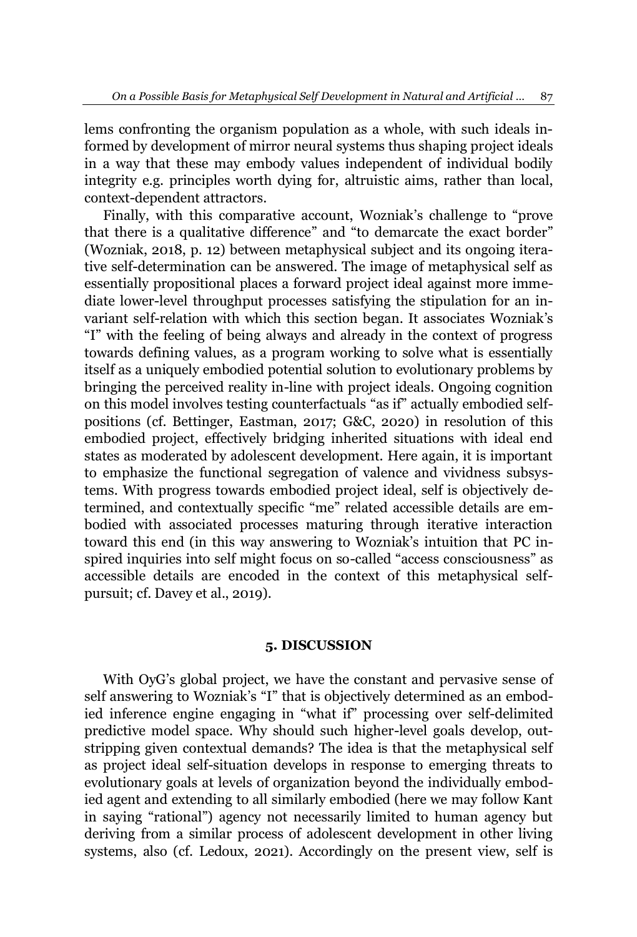lems confronting the organism population as a whole, with such ideals informed by development of mirror neural systems thus shaping project ideals in a way that these may embody values independent of individual bodily integrity e.g. principles worth dying for, altruistic aims, rather than local, context-dependent attractors.

Finally, with this comparative account, Wozniak's challenge to "prove that there is a qualitative difference" and "to demarcate the exact border" (Wozniak, 2018, p. 12) between metaphysical subject and its ongoing iterative self-determination can be answered. The image of metaphysical self as essentially propositional places a forward project ideal against more immediate lower-level throughput processes satisfying the stipulation for an invariant self-relation with which this section began. It associates Wozniak's ³I´ with the feeling of being always and already in the context of progress towards defining values, as a program working to solve what is essentially itself as a uniquely embodied potential solution to evolutionary problems by bringing the perceived reality in-line with project ideals. Ongoing cognition on this model involves testing counterfactuals "as if" actually embodied selfpositions (cf. Bettinger, Eastman, 2017; G&C, 2020) in resolution of this embodied project, effectively bridging inherited situations with ideal end states as moderated by adolescent development. Here again, it is important to emphasize the functional segregation of valence and vividness subsystems. With progress towards embodied project ideal, self is objectively determined, and contextually specific "me" related accessible details are embodied with associated processes maturing through iterative interaction toward this end (in this way answering to Wozniak's intuition that PC inspired inquiries into self might focus on so-called "access consciousness" as accessible details are encoded in the context of this metaphysical selfpursuit; cf. Davey et al., 2019).

## **5. DISCUSSION**

With OyG's global project, we have the constant and pervasive sense of self answering to Wozniak's "I" that is objectively determined as an embodied inference engine engaging in "what if" processing over self-delimited predictive model space. Why should such higher-level goals develop, outstripping given contextual demands? The idea is that the metaphysical self as project ideal self-situation develops in response to emerging threats to evolutionary goals at levels of organization beyond the individually embodied agent and extending to all similarly embodied (here we may follow Kant in saying "rational") agency not necessarily limited to human agency but deriving from a similar process of adolescent development in other living systems, also (cf. Ledoux, 2021). Accordingly on the present view, self is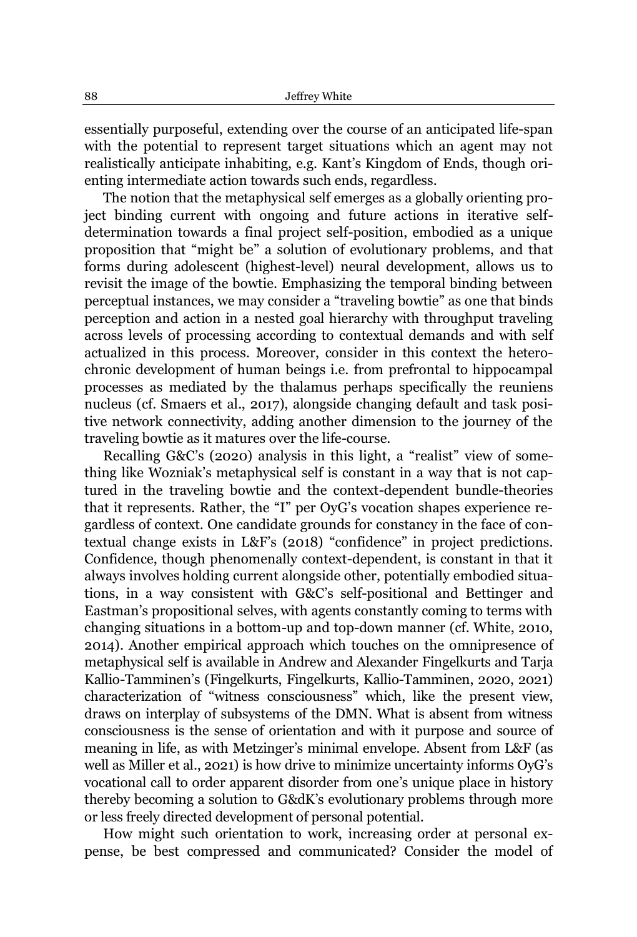essentially purposeful, extending over the course of an anticipated life-span with the potential to represent target situations which an agent may not realistically anticipate inhabiting, e.g. Kant's Kingdom of Ends, though orienting intermediate action towards such ends, regardless.

The notion that the metaphysical self emerges as a globally orienting project binding current with ongoing and future actions in iterative selfdetermination towards a final project self-position, embodied as a unique proposition that "might be" a solution of evolutionary problems, and that forms during adolescent (highest-level) neural development, allows us to revisit the image of the bowtie. Emphasizing the temporal binding between perceptual instances, we may consider a "traveling bowtie" as one that binds perception and action in a nested goal hierarchy with throughput traveling across levels of processing according to contextual demands and with self actualized in this process. Moreover, consider in this context the heterochronic development of human beings i.e. from prefrontal to hippocampal processes as mediated by the thalamus perhaps specifically the reuniens nucleus (cf. Smaers et al., 2017), alongside changing default and task positive network connectivity, adding another dimension to the journey of the traveling bowtie as it matures over the life-course.

Recalling G&C's (2020) analysis in this light, a "realist" view of something like Wozniak's metaphysical self is constant in a way that is not captured in the traveling bowtie and the context-dependent bundle-theories that it represents. Rather, the "I" per OyG's vocation shapes experience regardless of context. One candidate grounds for constancy in the face of contextual change exists in L&F's  $(2018)$  "confidence" in project predictions. Confidence, though phenomenally context-dependent, is constant in that it always involves holding current alongside other, potentially embodied situations, in a way consistent with G&C's self-positional and Bettinger and Eastman's propositional selves, with agents constantly coming to terms with changing situations in a bottom-up and top-down manner (cf. White, 2010, 2014). Another empirical approach which touches on the omnipresence of metaphysical self is available in Andrew and Alexander Fingelkurts and Tarja Kallio-Tamminen's (Fingelkurts, Fingelkurts, Kallio-Tamminen, 2020, 2021) characterization of "witness consciousness" which, like the present view, draws on interplay of subsystems of the DMN. What is absent from witness consciousness is the sense of orientation and with it purpose and source of meaning in life, as with Metzinger's minimal envelope. Absent from L&F (as well as Miller et al., 2021) is how drive to minimize uncertainty informs OyG's vocational call to order apparent disorder from one's unique place in history thereby becoming a solution to G&dK's evolutionary problems through more or less freely directed development of personal potential.

How might such orientation to work, increasing order at personal expense, be best compressed and communicated? Consider the model of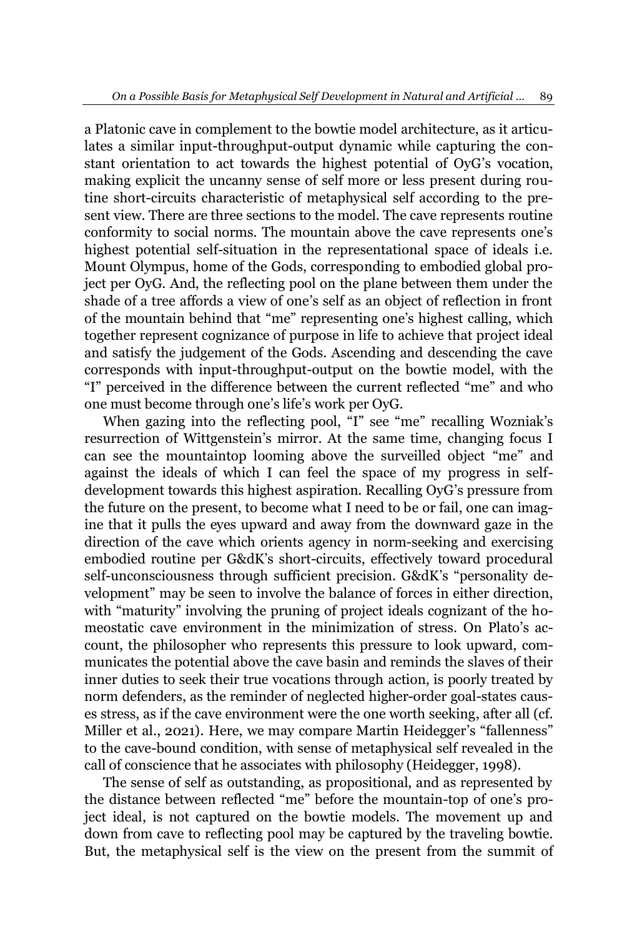a Platonic cave in complement to the bowtie model architecture, as it articulates a similar input-throughput-output dynamic while capturing the constant orientation to act towards the highest potential of OyG's vocation, making explicit the uncanny sense of self more or less present during routine short-circuits characteristic of metaphysical self according to the present view. There are three sections to the model. The cave represents routine conformity to social norms. The mountain above the cave represents one's highest potential self-situation in the representational space of ideals i.e. Mount Olympus, home of the Gods, corresponding to embodied global project per OyG. And, the reflecting pool on the plane between them under the shade of a tree affords a view of one's self as an object of reflection in front of the mountain behind that "me" representing one's highest calling, which together represent cognizance of purpose in life to achieve that project ideal and satisfy the judgement of the Gods. Ascending and descending the cave corresponds with input-throughput-output on the bowtie model, with the "I" perceived in the difference between the current reflected "me" and who one must become through one's life's work per OyG.

When gazing into the reflecting pool, "I" see "me" recalling Wozniak's resurrection of Wittgenstein's mirror. At the same time, changing focus I can see the mountaintop looming above the surveilled object "me" and against the ideals of which I can feel the space of my progress in selfdevelopment towards this highest aspiration. Recalling OyG's pressure from the future on the present, to become what I need to be or fail, one can imagine that it pulls the eyes upward and away from the downward gaze in the direction of the cave which orients agency in norm-seeking and exercising embodied routine per G&dK's short-circuits, effectively toward procedural self-unconsciousness through sufficient precision. G&dK's "personality development´ may be seen to involve the balance of forces in either direction, with "maturity" involving the pruning of project ideals cognizant of the homeostatic cave environment in the minimization of stress. On Plato's account, the philosopher who represents this pressure to look upward, communicates the potential above the cave basin and reminds the slaves of their inner duties to seek their true vocations through action, is poorly treated by norm defenders, as the reminder of neglected higher-order goal-states causes stress, as if the cave environment were the one worth seeking, after all (cf. Miller et al., 2021). Here, we may compare Martin Heidegger's "fallenness" to the cave-bound condition, with sense of metaphysical self revealed in the call of conscience that he associates with philosophy (Heidegger, 1998).

The sense of self as outstanding, as propositional, and as represented by the distance between reflected "me" before the mountain-top of one's project ideal, is not captured on the bowtie models. The movement up and down from cave to reflecting pool may be captured by the traveling bowtie. But, the metaphysical self is the view on the present from the summit of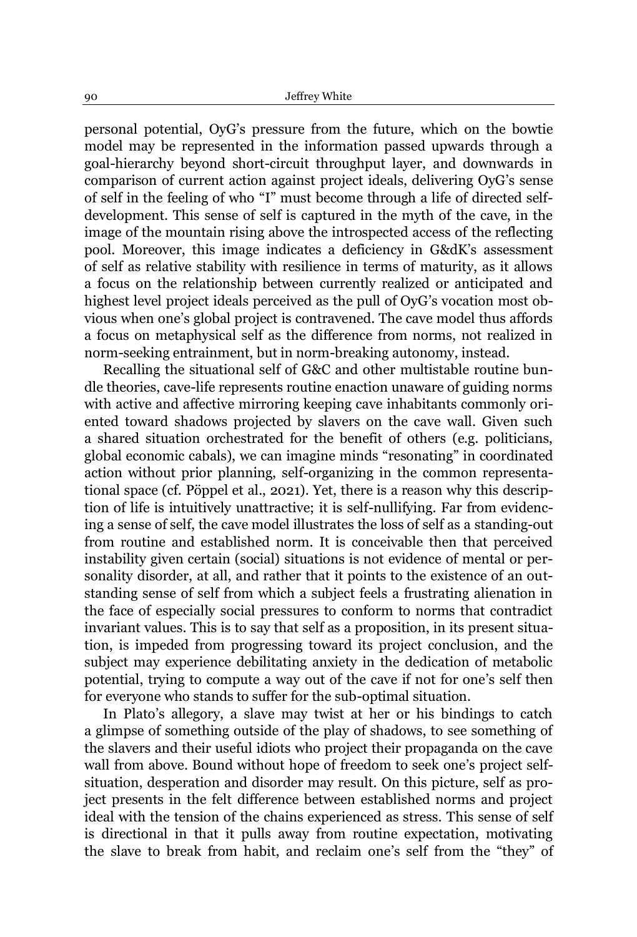personal potential, OyG's pressure from the future, which on the bowtie model may be represented in the information passed upwards through a goal-hierarchy beyond short-circuit throughput layer, and downwards in comparison of current action against project ideals, delivering OyG's sense of self in the feeling of who "I" must become through a life of directed selfdevelopment. This sense of self is captured in the myth of the cave, in the image of the mountain rising above the introspected access of the reflecting pool. Moreover, this image indicates a deficiency in G&dK's assessment of self as relative stability with resilience in terms of maturity, as it allows a focus on the relationship between currently realized or anticipated and highest level project ideals perceived as the pull of OyG's vocation most obvious when one's global project is contravened. The cave model thus affords a focus on metaphysical self as the difference from norms, not realized in norm-seeking entrainment, but in norm-breaking autonomy, instead.

Recalling the situational self of G&C and other multistable routine bundle theories, cave-life represents routine enaction unaware of guiding norms with active and affective mirroring keeping cave inhabitants commonly oriented toward shadows projected by slavers on the cave wall. Given such a shared situation orchestrated for the benefit of others (e.g. politicians, global economic cabals), we can imagine minds "resonating" in coordinated action without prior planning, self-organizing in the common representational space (cf. Pöppel et al., 2021). Yet, there is a reason why this description of life is intuitively unattractive; it is self-nullifying. Far from evidencing a sense of self, the cave model illustrates the loss of self as a standing-out from routine and established norm. It is conceivable then that perceived instability given certain (social) situations is not evidence of mental or personality disorder, at all, and rather that it points to the existence of an outstanding sense of self from which a subject feels a frustrating alienation in the face of especially social pressures to conform to norms that contradict invariant values. This is to say that self as a proposition, in its present situation, is impeded from progressing toward its project conclusion, and the subject may experience debilitating anxiety in the dedication of metabolic potential, trying to compute a way out of the cave if not for one's self then for everyone who stands to suffer for the sub-optimal situation.

In Plato's allegory, a slave may twist at her or his bindings to catch a glimpse of something outside of the play of shadows, to see something of the slavers and their useful idiots who project their propaganda on the cave wall from above. Bound without hope of freedom to seek one's project selfsituation, desperation and disorder may result. On this picture, self as project presents in the felt difference between established norms and project ideal with the tension of the chains experienced as stress. This sense of self is directional in that it pulls away from routine expectation, motivating the slave to break from habit, and reclaim one's self from the "they" of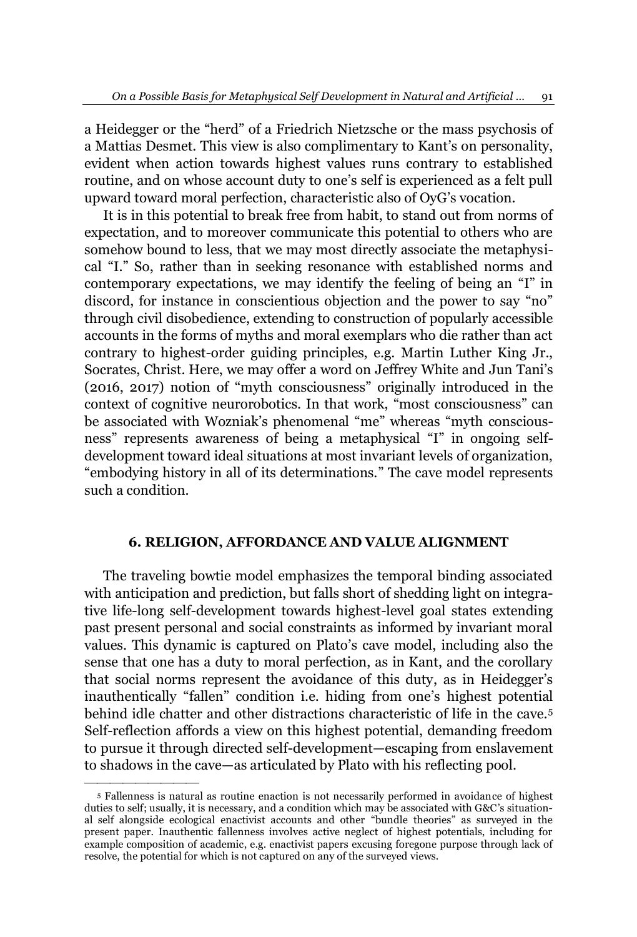a Heidegger or the "herd" of a Friedrich Nietzsche or the mass psychosis of a Mattias Desmet. This view is also complimentary to Kant's on personality, evident when action towards highest values runs contrary to established routine, and on whose account duty to one's self is experienced as a felt pull upward toward moral perfection, characteristic also of OyG's vocation.

It is in this potential to break free from habit, to stand out from norms of expectation, and to moreover communicate this potential to others who are somehow bound to less, that we may most directly associate the metaphysical "I." So, rather than in seeking resonance with established norms and contemporary expectations, we may identify the feeling of being an "I" in discord, for instance in conscientious objection and the power to say "no" through civil disobedience, extending to construction of popularly accessible accounts in the forms of myths and moral exemplars who die rather than act contrary to highest-order guiding principles, e.g. Martin Luther King Jr., Socrates, Christ. Here, we may offer a word on Jeffrey White and Jun Tani's  $(2016, 2017)$  notion of "myth consciousness" originally introduced in the context of cognitive neurorobotics. In that work, "most consciousness" can be associated with Wozniak's phenomenal "me" whereas "myth consciousness" represents awareness of being a metaphysical "I" in ongoing selfdevelopment toward ideal situations at most invariant levels of organization, ³embodying history in all of its determinations.´ The cave model represents such a condition.

#### **6. RELIGION, AFFORDANCE AND VALUE ALIGNMENT**

The traveling bowtie model emphasizes the temporal binding associated with anticipation and prediction, but falls short of shedding light on integrative life-long self-development towards highest-level goal states extending past present personal and social constraints as informed by invariant moral values. This dynamic is captured on Plato's cave model, including also the sense that one has a duty to moral perfection, as in Kant, and the corollary that social norms represent the avoidance of this duty, as in Heidegger's inauthentically "fallen" condition i.e. hiding from one's highest potential behind idle chatter and other distractions characteristic of life in the cave.5 Self-reflection affords a view on this highest potential, demanding freedom to pursue it through directed self-development—escaping from enslavement to shadows in the cave—as articulated by Plato with his reflecting pool.

²²²²²²²²²

<sup>5</sup> Fallenness is natural as routine enaction is not necessarily performed in avoidance of highest duties to self; usually, it is necessary, and a condition which may be associated with G&C's situational self alongside ecological enactivist accounts and other "bundle theories" as surveyed in the present paper. Inauthentic fallenness involves active neglect of highest potentials, including for example composition of academic, e.g. enactivist papers excusing foregone purpose through lack of resolve, the potential for which is not captured on any of the surveyed views.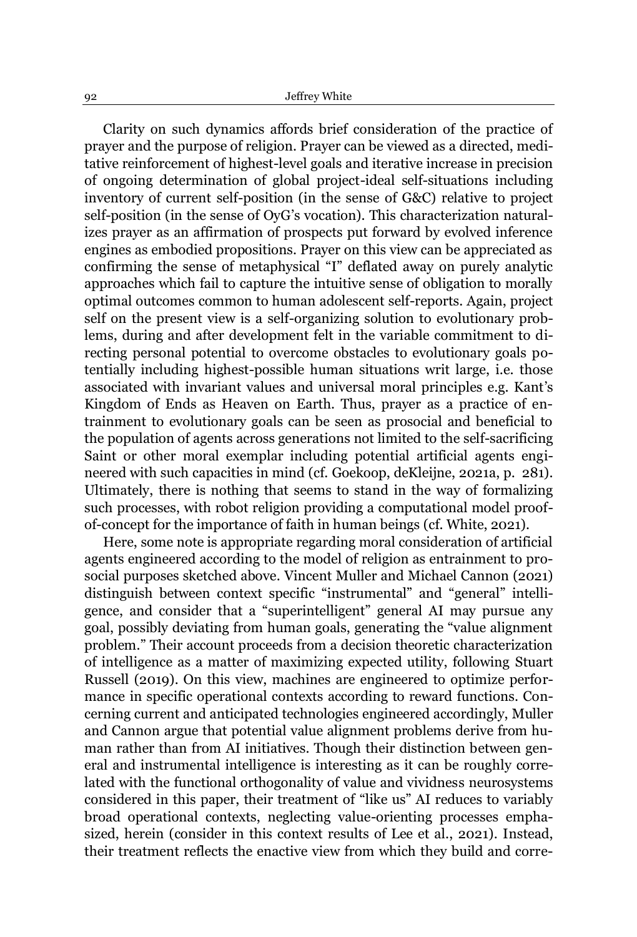Clarity on such dynamics affords brief consideration of the practice of prayer and the purpose of religion. Prayer can be viewed as a directed, meditative reinforcement of highest-level goals and iterative increase in precision of ongoing determination of global project-ideal self-situations including inventory of current self-position (in the sense of G&C) relative to project self-position (in the sense of OyG's vocation). This characterization naturalizes prayer as an affirmation of prospects put forward by evolved inference engines as embodied propositions. Prayer on this view can be appreciated as confirming the sense of metaphysical "I" deflated away on purely analytic approaches which fail to capture the intuitive sense of obligation to morally optimal outcomes common to human adolescent self-reports. Again, project self on the present view is a self-organizing solution to evolutionary problems, during and after development felt in the variable commitment to directing personal potential to overcome obstacles to evolutionary goals potentially including highest-possible human situations writ large, i.e. those associated with invariant values and universal moral principles e.g. Kant's Kingdom of Ends as Heaven on Earth. Thus, prayer as a practice of entrainment to evolutionary goals can be seen as prosocial and beneficial to the population of agents across generations not limited to the self-sacrificing Saint or other moral exemplar including potential artificial agents engineered with such capacities in mind (cf. Goekoop, deKleijne, 2021a, p. 281). Ultimately, there is nothing that seems to stand in the way of formalizing such processes, with robot religion providing a computational model proofof-concept for the importance of faith in human beings (cf. White, 2021).

Here, some note is appropriate regarding moral consideration of artificial agents engineered according to the model of religion as entrainment to prosocial purposes sketched above. Vincent Muller and Michael Cannon (2021) distinguish between context specific "instrumental" and "general" intelligence, and consider that a "superintelligent" general AI may pursue any goal, possibly deviating from human goals, generating the "value alignment" problem.´ Their account proceeds from a decision theoretic characterization of intelligence as a matter of maximizing expected utility, following Stuart Russell (2019). On this view, machines are engineered to optimize performance in specific operational contexts according to reward functions. Concerning current and anticipated technologies engineered accordingly, Muller and Cannon argue that potential value alignment problems derive from human rather than from AI initiatives. Though their distinction between general and instrumental intelligence is interesting as it can be roughly correlated with the functional orthogonality of value and vividness neurosystems considered in this paper, their treatment of "like us" AI reduces to variably broad operational contexts, neglecting value-orienting processes emphasized, herein (consider in this context results of Lee et al., 2021). Instead, their treatment reflects the enactive view from which they build and corre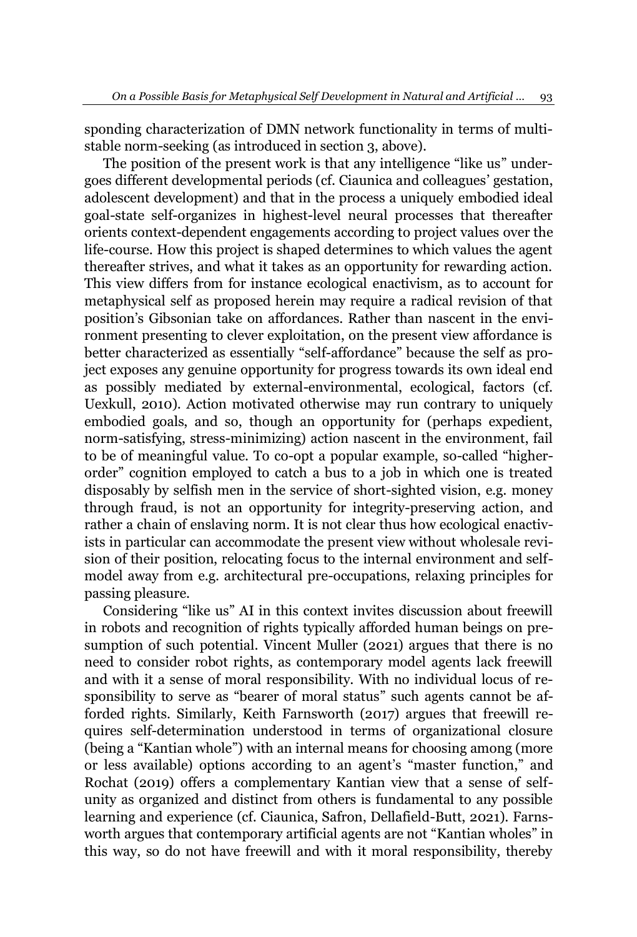sponding characterization of DMN network functionality in terms of multistable norm-seeking (as introduced in section 3, above).

The position of the present work is that any intelligence "like us" undergoes different developmental periods (cf. Ciaunica and colleagues' gestation, adolescent development) and that in the process a uniquely embodied ideal goal-state self-organizes in highest-level neural processes that thereafter orients context-dependent engagements according to project values over the life-course. How this project is shaped determines to which values the agent thereafter strives, and what it takes as an opportunity for rewarding action. This view differs from for instance ecological enactivism, as to account for metaphysical self as proposed herein may require a radical revision of that position's Gibsonian take on affordances. Rather than nascent in the environment presenting to clever exploitation, on the present view affordance is better characterized as essentially "self-affordance" because the self as project exposes any genuine opportunity for progress towards its own ideal end as possibly mediated by external-environmental, ecological, factors (cf. Uexkull, 2010). Action motivated otherwise may run contrary to uniquely embodied goals, and so, though an opportunity for (perhaps expedient, norm-satisfying, stress-minimizing) action nascent in the environment, fail to be of meaningful value. To co-opt a popular example, so-called "higherorder´ cognition employed to catch a bus to a job in which one is treated disposably by selfish men in the service of short-sighted vision, e.g. money through fraud, is not an opportunity for integrity-preserving action, and rather a chain of enslaving norm. It is not clear thus how ecological enactivists in particular can accommodate the present view without wholesale revision of their position, relocating focus to the internal environment and selfmodel away from e.g. architectural pre-occupations, relaxing principles for passing pleasure.

Considering "like us" AI in this context invites discussion about freewill in robots and recognition of rights typically afforded human beings on presumption of such potential. Vincent Muller (2021) argues that there is no need to consider robot rights, as contemporary model agents lack freewill and with it a sense of moral responsibility. With no individual locus of responsibility to serve as "bearer of moral status" such agents cannot be afforded rights. Similarly, Keith Farnsworth (2017) argues that freewill requires self-determination understood in terms of organizational closure (being a "Kantian whole") with an internal means for choosing among (more or less available) options according to an agent's "master function," and Rochat (2019) offers a complementary Kantian view that a sense of selfunity as organized and distinct from others is fundamental to any possible learning and experience (cf. Ciaunica, Safron, Dellafield-Butt, 2021). Farnsworth argues that contemporary artificial agents are not "Kantian wholes" in this way, so do not have freewill and with it moral responsibility, thereby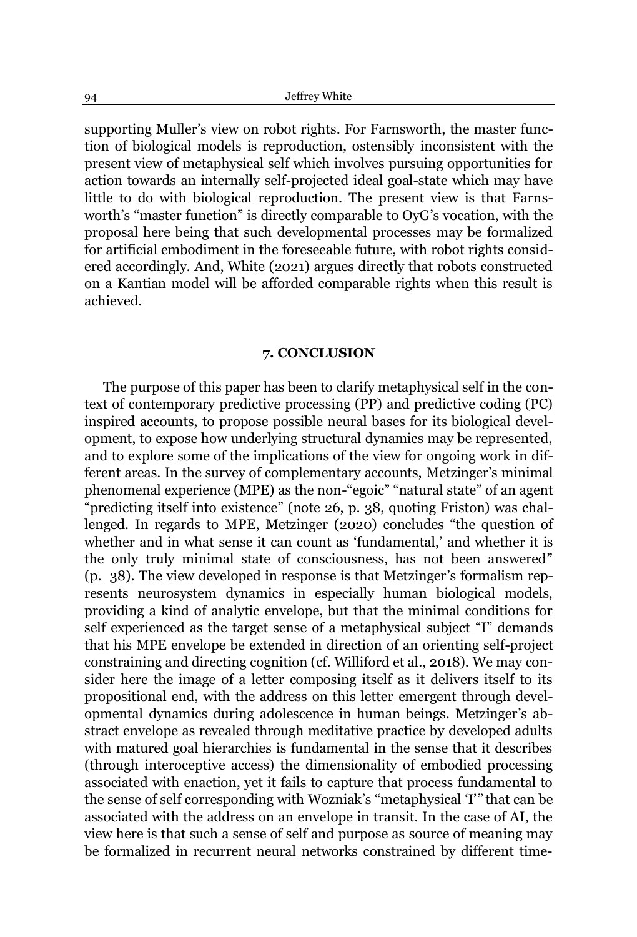supporting Muller's view on robot rights. For Farnsworth, the master function of biological models is reproduction, ostensibly inconsistent with the present view of metaphysical self which involves pursuing opportunities for action towards an internally self-projected ideal goal-state which may have little to do with biological reproduction. The present view is that Farnsworth's "master function" is directly comparable to OyG's vocation, with the proposal here being that such developmental processes may be formalized for artificial embodiment in the foreseeable future, with robot rights considered accordingly. And, White (2021) argues directly that robots constructed on a Kantian model will be afforded comparable rights when this result is achieved.

### **7. CONCLUSION**

The purpose of this paper has been to clarify metaphysical self in the context of contemporary predictive processing (PP) and predictive coding (PC) inspired accounts, to propose possible neural bases for its biological development, to expose how underlying structural dynamics may be represented, and to explore some of the implications of the view for ongoing work in different areas. In the survey of complementary accounts, Metzinger's minimal phenomenal experience (MPE) as the non-"egoic" "natural state" of an agent "predicting itself into existence" (note 26, p. 38, quoting Friston) was challenged. In regards to MPE, Metzinger (2020) concludes "the question of whether and in what sense it can count as 'fundamental,' and whether it is the only truly minimal state of consciousness, has not been answered´  $(p. 38)$ . The view developed in response is that Metzinger's formalism represents neurosystem dynamics in especially human biological models, providing a kind of analytic envelope, but that the minimal conditions for self experienced as the target sense of a metaphysical subject "I" demands that his MPE envelope be extended in direction of an orienting self-project constraining and directing cognition (cf. Williford et al., 2018). We may consider here the image of a letter composing itself as it delivers itself to its propositional end, with the address on this letter emergent through developmental dynamics during adolescence in human beings. Metzinger's abstract envelope as revealed through meditative practice by developed adults with matured goal hierarchies is fundamental in the sense that it describes (through interoceptive access) the dimensionality of embodied processing associated with enaction, yet it fails to capture that process fundamental to the sense of self corresponding with Wozniak's "metaphysical 'I'" that can be associated with the address on an envelope in transit. In the case of AI, the view here is that such a sense of self and purpose as source of meaning may be formalized in recurrent neural networks constrained by different time-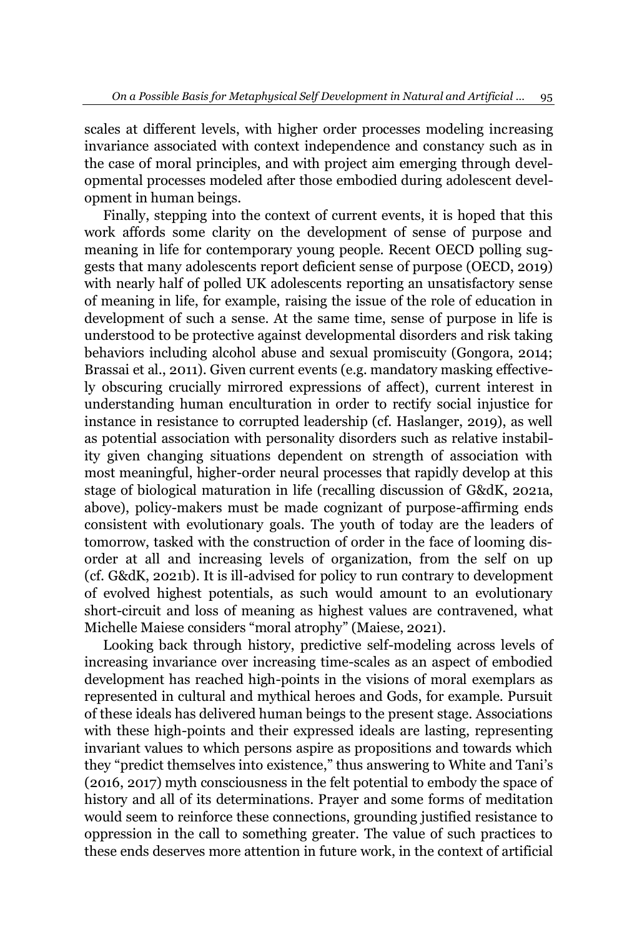scales at different levels, with higher order processes modeling increasing invariance associated with context independence and constancy such as in the case of moral principles, and with project aim emerging through developmental processes modeled after those embodied during adolescent development in human beings.

Finally, stepping into the context of current events, it is hoped that this work affords some clarity on the development of sense of purpose and meaning in life for contemporary young people. Recent OECD polling suggests that many adolescents report deficient sense of purpose (OECD, 2019) with nearly half of polled UK adolescents reporting an unsatisfactory sense of meaning in life, for example, raising the issue of the role of education in development of such a sense. At the same time, sense of purpose in life is understood to be protective against developmental disorders and risk taking behaviors including alcohol abuse and sexual promiscuity (Gongora, 2014; Brassai et al., 2011). Given current events (e.g. mandatory masking effectively obscuring crucially mirrored expressions of affect), current interest in understanding human enculturation in order to rectify social injustice for instance in resistance to corrupted leadership (cf. Haslanger, 2019), as well as potential association with personality disorders such as relative instability given changing situations dependent on strength of association with most meaningful, higher-order neural processes that rapidly develop at this stage of biological maturation in life (recalling discussion of G&dK, 2021a, above), policy-makers must be made cognizant of purpose-affirming ends consistent with evolutionary goals. The youth of today are the leaders of tomorrow, tasked with the construction of order in the face of looming disorder at all and increasing levels of organization, from the self on up (cf. G&dK, 2021b). It is ill-advised for policy to run contrary to development of evolved highest potentials, as such would amount to an evolutionary short-circuit and loss of meaning as highest values are contravened, what Michelle Maiese considers "moral atrophy" (Maiese, 2021).

Looking back through history, predictive self-modeling across levels of increasing invariance over increasing time-scales as an aspect of embodied development has reached high-points in the visions of moral exemplars as represented in cultural and mythical heroes and Gods, for example. Pursuit of these ideals has delivered human beings to the present stage. Associations with these high-points and their expressed ideals are lasting, representing invariant values to which persons aspire as propositions and towards which they "predict themselves into existence," thus answering to White and Tani's (2016, 2017) myth consciousness in the felt potential to embody the space of history and all of its determinations. Prayer and some forms of meditation would seem to reinforce these connections, grounding justified resistance to oppression in the call to something greater. The value of such practices to these ends deserves more attention in future work, in the context of artificial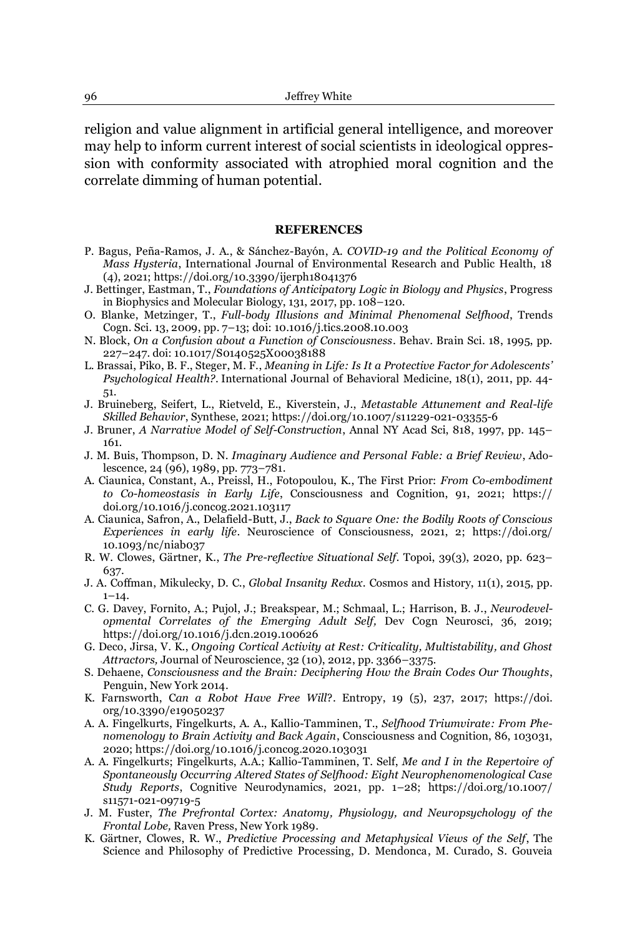religion and value alignment in artificial general intelligence, and moreover may help to inform current interest of social scientists in ideological oppression with conformity associated with atrophied moral cognition and the correlate dimming of human potential.

#### **REFERENCES**

- P. Bagus, Peña-Ramos, J. A., & Sánchez-Bayón, A. COVID-19 and the Political Economy of *Mass Hysteria*, International Journal of Environmental Research and Public Health, 18 (4), 2021; https://doi.org/10.3390/ijerph18041376
- J. Bettinger, Eastman, T., *Foundations of Anticipatory Logic in Biology and Physics*, Progress in Biophysics and Molecular Biology, 131, 2017, pp. 108-120.
- O. Blanke, Metzinger, T., *Full-body Illusions and Minimal Phenomenal Selfhood*, Trends Cogn. Sci. 13, 2009, pp. 7±13; doi: 10.1016/j.tics.2008.10.003
- N. Block, *On a Confusion about a Function of Consciousness*. Behav. Brain Sci. 18, 1995, pp. 227±247. doi: 10.1017/S0140525X00038188
- L. Brassai, Piko, B. F., Steger, M. F., *Meaning in Life: Is It a Protective Factor for Adolescents¶ Psychological Health?*. International Journal of Behavioral Medicine, 18(1), 2011, pp. 44- 51.
- J. Bruineberg, Seifert, L., Rietveld, E., Kiverstein, J., *Metastable Attunement and Real-life Skilled Behavior*, Synthese, 2021; https://doi.org/10.1007/s11229-021-03355-6
- J. Bruner, *A Narrative Model of Self-Construction*, Annal NY Acad Sci, 818, 1997, pp. 145± 161.
- J. M. Buis, Thompson, D. N. *Imaginary Audience and Personal Fable: a Brief Review*, Adolescence, 24 (96), 1989, pp. 773-781.
- A. Ciaunica, Constant, A., Preissl, H., Fotopoulou, K., The First Prior: *From Co-embodiment to Co-homeostasis in Early Life*, Consciousness and Cognition, 91, 2021; https:// doi.org/10.1016/j.concog.2021.103117
- A. Ciaunica, Safron, A., Delafield-Butt, J., *Back to Square One: the Bodily Roots of Conscious Experiences in early life*. Neuroscience of Consciousness, 2021, 2; https://doi.org/ 10.1093/nc/niab037
- R. W. Clowes, Gärtner, K., *The Pre-reflective Situational Self.* Topoi, 39(3), 2020, pp. 623– 637.
- J. A. Coffman, Mikulecky, D. C., *Global Insanity Redux*. Cosmos and History, 11(1), 2015, pp.  $1 - 14.$
- C. G. Davey, Fornito, A.; Pujol, J.; Breakspear, M.; Schmaal, L.; Harrison, B. J., *Neurodevelopmental Correlates of the Emerging Adult Self,* Dev Cogn Neurosci, 36, 2019; https://doi.org/10.1016/j.dcn.2019.100626
- G. Deco, Jirsa, V. K., *Ongoing Cortical Activity at Rest: Criticality, Multistability, and Ghost Attractors, Journal of Neuroscience, 32 (10), 2012, pp. 3366-3375.*
- S. Dehaene, *Consciousness and the Brain: Deciphering How the Brain Codes Our Thoughts*, Penguin, New York 2014.
- K. Farnsworth, C*an a Robot Have Free Will*?. Entropy, 19 (5), 237, 2017; https://doi. org/10.3390/e19050237
- A. A. Fingelkurts, Fingelkurts, A. A., Kallio-Tamminen, T., *Selfhood Triumvirate: From Phenomenology to Brain Activity and Back Again*, Consciousness and Cognition, 86, 103031, 2020; https://doi.org/10.1016/j.concog.2020.103031
- A. A. Fingelkurts; Fingelkurts, A.A.; Kallio-Tamminen, T. Self, *Me and I in the Repertoire of Spontaneously Occurring Altered States of Selfhood: Eight Neurophenomenological Case Study Reports*, Cognitive Neurodynamics, 2021, pp. 1±28; https://doi.org/10.1007/ s11571-021-09719-5
- J. M. Fuster, *The Prefrontal Cortex: Anatomy, Physiology, and Neuropsychology of the Frontal Lobe,* Raven Press, New York 1989.
- K. Gärtner, Clowes, R. W., *Predictive Processing and Metaphysical Views of the Self*, The Science and Philosophy of Predictive Processing, D. Mendonca, M. Curado, S. Gouveia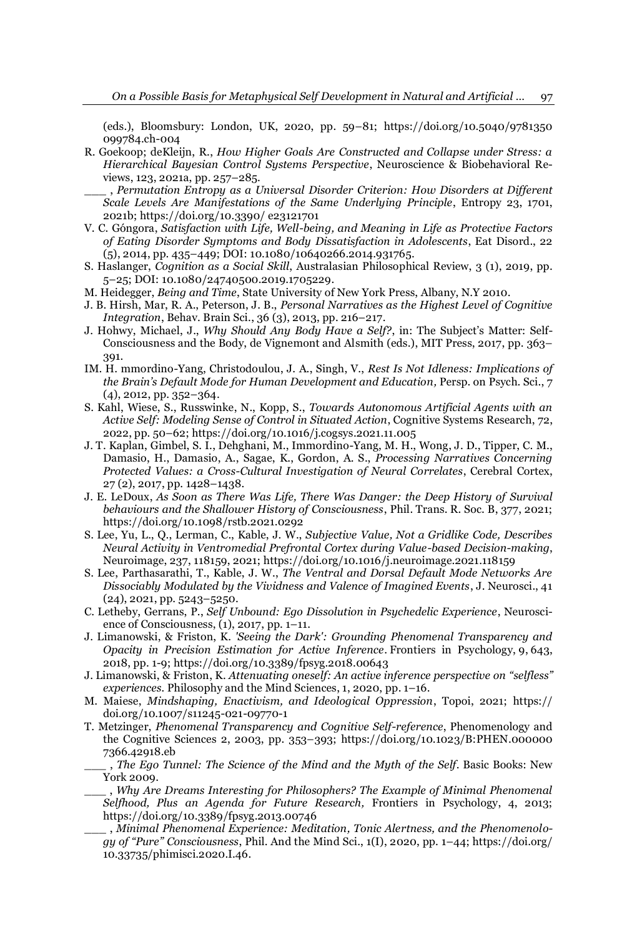(eds.), Bloomsbury: London, UK, 2020, pp. 59-81; https://doi.org/10.5040/9781350 099784.ch-004

- R. Goekoop; deKleijn, R., *How Higher Goals Are Constructed and Collapse under Stress: a Hierarchical Bayesian Control Systems Perspective*, Neuroscience & Biobehavioral Reviews,  $123$ ,  $2021a$ , pp.  $257-285$ .
- \_\_\_ , *Permutation Entropy as a Universal Disorder Criterion: How Disorders at Different Scale Levels Are Manifestations of the Same Underlying Principle*, Entropy 23, 1701, 2021b; https://doi.org/10.3390/ e23121701
- V. C. Góngora, Satisfaction with Life, Well-being, and Meaning in Life as Protective Factors *of Eating Disorder Symptoms and Body Dissatisfaction in Adolescents*, Eat Disord., 22 (5), 2014, pp. 435±449; DOI: 10.1080/10640266.2014.931765.
- S. Haslanger, *Cognition as a Social Skill*, Australasian Philosophical Review, 3 (1), 2019, pp. 5±25; DOI: 10.1080/24740500.2019.1705229.
- M. Heidegger, *Being and Time*, State University of New York Press, Albany, N.Y 2010.
- J. B. Hirsh, Mar, R. A., Peterson, J. B., *Personal Narratives as the Highest Level of Cognitive Integration*, Behav. Brain Sci., 36 (3), 2013, pp. 216-217.
- J. Hohwy, Michael, J., *Why Should Any Body Have a Self?*, in: The Subject's Matter: Self-Consciousness and the Body, de Vignemont and Alsmith (eds.), MIT Press, 2017, pp. 363– 391.
- IM. H. mmordino-Yang, Christodoulou, J. A., Singh, V., *Rest Is Not Idleness: Implications of the Brain¶s Default Mode for Human Development and Education,* Persp. on Psych. Sci., 7  $(4)$ , 2012, pp. 352-364.
- S. Kahl, Wiese, S., Russwinke, N., Kopp, S., *Towards Autonomous Artificial Agents with an Active Self: Modeling Sense of Control in Situated Action*, Cognitive Systems Research, 72, 2022, pp. 50±62; https://doi.org/10.1016/j.cogsys.2021.11.005
- J. T. Kaplan, Gimbel, S. I., Dehghani, M., Immordino-Yang, M. H., Wong, J. D., Tipper, C. M., Damasio, H., Damasio, A., Sagae, K., Gordon, A. S., *Processing Narratives Concerning Protected Values: a Cross-Cultural Investigation of Neural Correlates*, Cerebral Cortex, 27 (2), 2017, pp. 1428-1438.
- J. E. LeDoux, *As Soon as There Was Life, There Was Danger: the Deep History of Survival behaviours and the Shallower History of Consciousness*, Phil. Trans. R. Soc. B, 377, 2021; https://doi.org/10.1098/rstb.2021.0292
- S. Lee, Yu, L., Q., Lerman, C., Kable, J. W., *Subjective Value, Not a Gridlike Code, Describes Neural Activity in Ventromedial Prefrontal Cortex during Value-based Decision-making*, Neuroimage, 237, 118159, 2021; https://doi.org/10.1016/j.neuroimage.2021.118159
- S. Lee, Parthasarathi, T., Kable, J. W., *The Ventral and Dorsal Default Mode Networks Are Dissociably Modulated by the Vividness and Valence of Imagined Events*, J. Neurosci., 41  $(24)$ , 2021, pp. 5243-5250.
- C. Letheby, Gerrans, P., *Self Unbound: Ego Dissolution in Psychedelic Experience*, Neuroscience of Consciousness,  $(1)$ , 2017, pp. 1–11.
- J. Limanowski, & Friston, K. *'Seeing the Dark': Grounding Phenomenal Transparency and Opacity in Precision Estimation for Active Inference*. Frontiers in Psychology, 9, 643, 2018, pp. 1-9; https://doi.org/10.3389/fpsyg.2018.00643
- J. Limanowski, & Friston, K. *Attenuating oneself: An active inference perspective on ³selfless´ experiences.* Philosophy and the Mind Sciences, 1, 2020, pp. 1-16.
- M. Maiese, *Mindshaping, Enactivism, and Ideological Oppression*, Topoi, 2021; https:// doi.org/10.1007/s11245-021-09770-1
- T. Metzinger, *Phenomenal Transparency and Cognitive Self-reference*, Phenomenology and the Cognitive Sciences 2, 2003, pp. 353±393; [https://doi.org/10.1023/B:](https://doi.org/10.1023/B)PHEN.000000 7366.42918.eb
	- \_\_\_ , *The Ego Tunnel: The Science of the Mind and the Myth of the Self*. Basic Books: New York 2009.
	- \_\_\_ , *Why Are Dreams Interesting for Philosophers? The Example of Minimal Phenomenal Selfhood, Plus an Agenda for Future Research,* Frontiers in Psychology, 4, 2013; https://doi.org/10.3389/fpsyg.2013.00746
	- \_\_\_ , *Minimal Phenomenal Experience: Meditation, Tonic Alertness, and the Phenomenolo-J\RI³3XUH´ Consciousness*, Phil. And the Mind Sci., 1(I), 2020, pp. 1±44; https://doi.org/ 10.33735/phimisci.2020.I.46.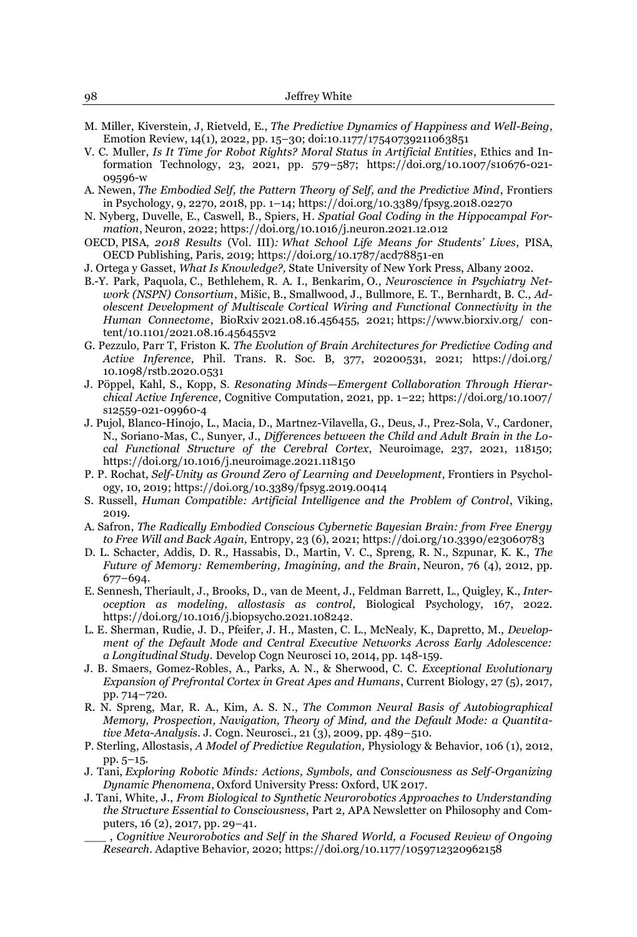- M. Miller, Kiverstein, J, Rietveld, E., *The Predictive Dynamics of Happiness and Well-Being*, Emotion Review,  $14(1)$ , 2022, pp. 15-30; doi:10.1177/17540739211063851
- V. C. Muller, *Is It Time for Robot Rights? Moral Status in Artificial Entities*, Ethics and Information Technology, 23, 2021, pp. 579-587; https://doi.org/10.1007/s10676-021-09596-w
- A. Newen, *The Embodied Self, the Pattern Theory of Self, and the Predictive Mind*, Frontiers in Psychology, 9, 2270, 2018, pp. 1±14; https://doi.org/10.3389/fpsyg.2018.02270
- N. Nyberg, Duvelle, E., Caswell, B., Spiers, H. *Spatial Goal Coding in the Hippocampal Formation*, Neuron, 2022; https://doi.org/10.1016/j.neuron.2021.12.012
- OECD, PISA, *2018 Results* (Vol. III)*: What School Life Means for Students¶ Lives*, PISA, OECD Publishing, Paris, 2019; https://doi.org/10.1787/acd78851-en
- J. Ortega y Gasset, *What Is Knowledge?,* State University of New York Press, Albany 2002.
- B.-Y. Park, Paquola, C., Bethlehem, R. A. I., Benkarim, O., *Neuroscience in Psychiatry Net*work (NSPN) Consortium, Mišic, B., Smallwood, J., Bullmore, E. T., Bernhardt, B. C., Ad*olescent Development of Multiscale Cortical Wiring and Functional Connectivity in the Human Connectome*, BioRxiv 2021.08.16.456455, 2021; https://www.biorxiv.org/ content/10.1101/2021.08.16.456455v2
- G. Pezzulo, Parr T, Friston K. *The Evolution of Brain Architectures for Predictive Coding and Active Inference*, Phil. Trans. R. Soc. B, 377, 20200531, 2021; https://doi.org/ 10.1098/rstb.2020.0531
- J. Pöppel, Kahl, S., Kopp, S. *Resonating Minds-Emergent Collaboration Through Hierarchical Active Inference*, Cognitive Computation, 2021, pp. 1-22; https://doi.org/10.1007/ [s12559-021-09960-4](https://doi.org/10.1007/%20s12559-021-09960-4)
- J. Pujol, Blanco-Hinojo, L., Macia, D., Martnez-Vilavella, G., Deus, J., Prez-Sola, V., Cardoner, N., Soriano-Mas, C., Sunyer, J., *Differences between the Child and Adult Brain in the Local Functional Structure of the Cerebral Cortex*, Neuroimage, 237, 2021, 118150; https://doi.org/10.1016/j.neuroimage.2021.118150
- P. P. Rochat, *Self-Unity as Ground Zero of Learning and Development*, Frontiers in Psychology, 10, 2019; https://doi.org/10.3389/fpsyg.2019.00414
- S. Russell, *Human Compatible: Artificial Intelligence and the Problem of Control*, Viking, 2019.
- A. Safron, *The Radically Embodied Conscious Cybernetic Bayesian Brain: from Free Energy to Free Will and Back Again,* Entropy, 23 (6), 2021; https://doi.org/10.3390/e23060783
- D. L. Schacter, Addis, D. R., Hassabis, D., Martin, V. C., Spreng, R. N., Szpunar, K. K., *The Future of Memory: Remembering, Imagining, and the Brain*, Neuron, 76 (4), 2012, pp. 677±694.
- E. Sennesh, Theriault, J., Brooks, D., van de Meent, J., Feldman Barrett, L., Quigley, K., *Interoception as modeling, allostasis as control,* Biological Psychology, 167, 2022. https://doi.org/10.1016/j.biopsycho.2021.108242.
- L. E. Sherman, Rudie, J. D., Pfeifer, J. H., Masten, C. L., McNealy, K., Dapretto, M., *Development of the Default Mode and Central Executive Networks Across Early Adolescence: a Longitudinal Study.* Develop Cogn Neurosci 10, 2014, pp. 148-159.
- J. B. Smaers, Gomez-Robles, A., Parks, A. N., & Sherwood, C. C. *Exceptional Evolutionary Expansion of Prefrontal Cortex in Great Apes and Humans*, Current Biology, 27 (5), 2017, pp. 714-720.
- R. N. Spreng, Mar, R. A., Kim, A. S. N., *The Common Neural Basis of Autobiographical Memory, Prospection, Navigation, Theory of Mind, and the Default Mode: a Quantitative Meta-Analysis.* J. Cogn. Neurosci., 21 (3), 2009, pp. 489–510.
- P. Sterling, Allostasis, *A Model of Predictive Regulation,* Physiology & Behavior, 106 (1), 2012, pp. 5-15.
- J. Tani, *Exploring Robotic Minds: Actions, Symbols, and Consciousness as Self-Organizing Dynamic Phenomena*, Oxford University Press: Oxford, UK 2017.
- J. Tani, White, J., *From Biological to Synthetic Neurorobotics Approaches to Understanding the Structure Essential to Consciousness*, Part 2, APA Newsletter on Philosophy and Computers, 16 (2), 2017, pp. 29-41.
	- \_\_\_ , *Cognitive Neurorobotics and Self in the Shared World, a Focused Review of Ongoing Research*. Adaptive Behavior, 2020; https://doi.org/10.1177/1059712320962158